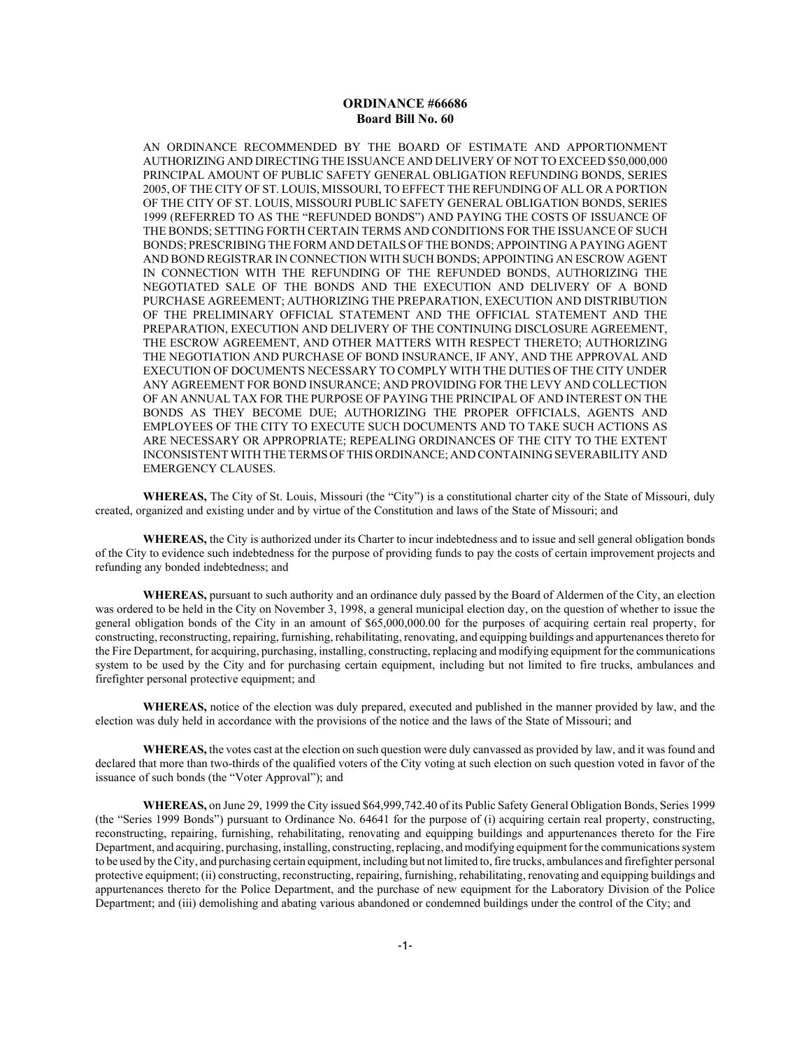AN ORDINANCE RECOMMENDED BY THE BOARD OF ESTIMATE AND APPORTIONMENT AUTHORIZING AND DIRECTING THE ISSUANCE AND DELIVERY OF NOT TO EXCEED \$50,000,000 PRINCIPAL AMOUNT OF PUBLIC SAFETY GENERAL OBLIGATION REFUNDING BONDS, SERIES 2005, OF THE CITY OF ST. LOUIS, MISSOURI, TO EFFECT THE REFUNDING OF ALL OR A PORTION OF THE CITY OF ST. LOUIS, MISSOURI PUBLIC SAFETY GENERAL OBLIGATION BONDS, SERIES 1999 (REFERRED TO AS THE "REFUNDED BONDS") AND PAYING THE COSTS OF ISSUANCE OF THE BONDS; SETTING FORTH CERTAIN TERMS AND CONDITIONS FOR THE ISSUANCE OF SUCH BONDS; PRESCRIBING THE FORM AND DETAILS OF THE BONDS; APPOINTING A PAYING AGENT AND BOND REGISTRAR IN CONNECTION WITH SUCH BONDS; APPOINTING AN ESCROW AGENT IN CONNECTION WITH THE REFUNDING OF THE REFUNDED BONDS, AUTHORIZING THE NEGOTIATED SALE OF THE BONDS AND THE EXECUTION AND DELIVERY OF A BOND PURCHASE AGREEMENT; AUTHORIZING THE PREPARATION, EXECUTION AND DISTRIBUTION OF THE PRELIMINARY OFFICIAL STATEMENT AND THE OFFICIAL STATEMENT AND THE PREPARATION, EXECUTION AND DELIVERY OF THE CONTINUING DISCLOSURE AGREEMENT, THE ESCROW AGREEMENT, AND OTHER MATTERS WITH RESPECT THERETO; AUTHORIZING THE NEGOTIATION AND PURCHASE OF BOND INSURANCE, IF ANY, AND THE APPROVAL AND EXECUTION OF DOCUMENTS NECESSARY TO COMPLY WITH THE DUTIES OF THE CITY UNDER ANY AGREEMENT FOR BOND INSURANCE; AND PROVIDING FOR THE LEVY AND COLLECTION OF AN ANNUAL TAX FOR THE PURPOSE OF PAYING THE PRINCIPAL OF AND INTEREST ON THE BONDS AS THEY BECOME DUE; AUTHORIZING THE PROPER OFFICIALS, AGENTS AND EMPLOYEES OF THE CITY TO EXECUTE SUCH DOCUMENTS AND TO TAKE SUCH ACTIONS AS ARE NECESSARY OR APPROPRIATE; REPEALING ORDINANCES OF THE CITY TO THE EXTENT INCONSISTENT WITH THE TERMS OF THIS ORDINANCE; AND CONTAINING SEVERABILITY AND EMERGENCY CLAUSES.

**WHEREAS,** The City of St. Louis, Missouri (the "City") is a constitutional charter city of the State of Missouri, duly created, organized and existing under and by virtue of the Constitution and laws of the State of Missouri; and

**WHEREAS,** the City is authorized under its Charter to incur indebtedness and to issue and sell general obligation bonds of the City to evidence such indebtedness for the purpose of providing funds to pay the costs of certain improvement projects and refunding any bonded indebtedness; and

**WHEREAS,** pursuant to such authority and an ordinance duly passed by the Board of Aldermen of the City, an election was ordered to be held in the City on November 3, 1998, a general municipal election day, on the question of whether to issue the general obligation bonds of the City in an amount of \$65,000,000.00 for the purposes of acquiring certain real property, for constructing, reconstructing, repairing, furnishing, rehabilitating, renovating, and equipping buildings and appurtenances thereto for the Fire Department, for acquiring, purchasing, installing, constructing, replacing and modifying equipment for the communications system to be used by the City and for purchasing certain equipment, including but not limited to fire trucks, ambulances and firefighter personal protective equipment; and

**WHEREAS,** notice of the election was duly prepared, executed and published in the manner provided by law, and the election was duly held in accordance with the provisions of the notice and the laws of the State of Missouri; and

**WHEREAS,** the votes cast at the election on such question were duly canvassed as provided by law, and it was found and declared that more than two-thirds of the qualified voters of the City voting at such election on such question voted in favor of the issuance of such bonds (the "Voter Approval"); and

**WHEREAS,** on June 29, 1999 the City issued \$64,999,742.40 of its Public Safety General Obligation Bonds, Series 1999 (the "Series 1999 Bonds") pursuant to Ordinance No. 64641 for the purpose of (i) acquiring certain real property, constructing, reconstructing, repairing, furnishing, rehabilitating, renovating and equipping buildings and appurtenances thereto for the Fire Department, and acquiring, purchasing, installing, constructing, replacing, and modifying equipment for the communications system to be used by the City, and purchasing certain equipment, including but not limited to, fire trucks, ambulances and firefighter personal protective equipment; (ii) constructing, reconstructing, repairing, furnishing, rehabilitating, renovating and equipping buildings and appurtenances thereto for the Police Department, and the purchase of new equipment for the Laboratory Division of the Police Department; and (iii) demolishing and abating various abandoned or condemned buildings under the control of the City; and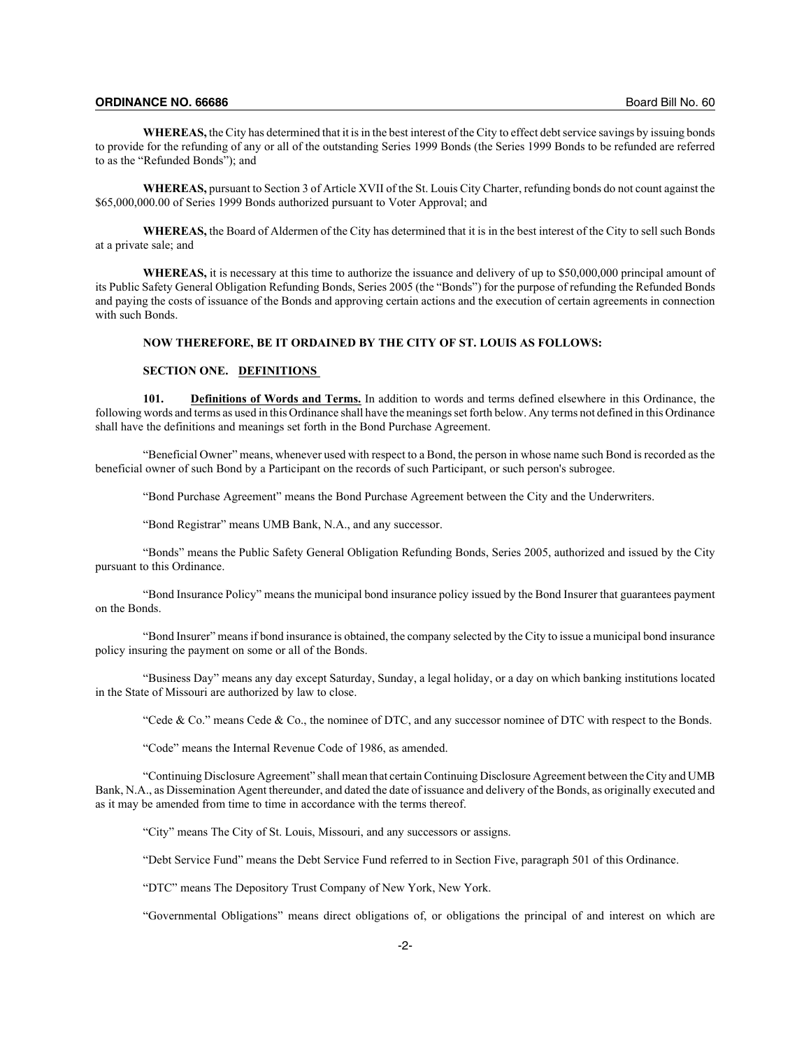**WHEREAS,** the City has determined that it is in the best interest of the City to effect debt service savings by issuing bonds to provide for the refunding of any or all of the outstanding Series 1999 Bonds (the Series 1999 Bonds to be refunded are referred to as the "Refunded Bonds"); and

**WHEREAS,** pursuant to Section 3 of Article XVII of the St. Louis City Charter, refunding bonds do not count against the \$65,000,000.00 of Series 1999 Bonds authorized pursuant to Voter Approval; and

**WHEREAS,** the Board of Aldermen of the City has determined that it is in the best interest of the City to sell such Bonds at a private sale; and

**WHEREAS,** it is necessary at this time to authorize the issuance and delivery of up to \$50,000,000 principal amount of its Public Safety General Obligation Refunding Bonds, Series 2005 (the "Bonds") for the purpose of refunding the Refunded Bonds and paying the costs of issuance of the Bonds and approving certain actions and the execution of certain agreements in connection with such Bonds.

# **NOW THEREFORE, BE IT ORDAINED BY THE CITY OF ST. LOUIS AS FOLLOWS:**

# **SECTION ONE. DEFINITIONS**

**101. Definitions of Words and Terms.** In addition to words and terms defined elsewhere in this Ordinance, the following words and terms as used in this Ordinance shall have the meanings set forth below. Any terms not defined in this Ordinance shall have the definitions and meanings set forth in the Bond Purchase Agreement.

"Beneficial Owner" means, whenever used with respect to a Bond, the person in whose name such Bond is recorded as the beneficial owner of such Bond by a Participant on the records of such Participant, or such person's subrogee.

"Bond Purchase Agreement" means the Bond Purchase Agreement between the City and the Underwriters.

"Bond Registrar" means UMB Bank, N.A., and any successor.

"Bonds" means the Public Safety General Obligation Refunding Bonds, Series 2005, authorized and issued by the City pursuant to this Ordinance.

"Bond Insurance Policy" means the municipal bond insurance policy issued by the Bond Insurer that guarantees payment on the Bonds.

"Bond Insurer" means if bond insurance is obtained, the company selected by the City to issue a municipal bond insurance policy insuring the payment on some or all of the Bonds.

"Business Day" means any day except Saturday, Sunday, a legal holiday, or a day on which banking institutions located in the State of Missouri are authorized by law to close.

"Cede & Co." means Cede & Co., the nominee of DTC, and any successor nominee of DTC with respect to the Bonds.

"Code" means the Internal Revenue Code of 1986, as amended.

"Continuing Disclosure Agreement" shall mean that certain Continuing Disclosure Agreement between the City and UMB Bank, N.A., as Dissemination Agent thereunder, and dated the date of issuance and delivery of the Bonds, as originally executed and as it may be amended from time to time in accordance with the terms thereof.

"City" means The City of St. Louis, Missouri, and any successors or assigns.

"Debt Service Fund" means the Debt Service Fund referred to in Section Five, paragraph 501 of this Ordinance.

"DTC" means The Depository Trust Company of New York, New York.

"Governmental Obligations" means direct obligations of, or obligations the principal of and interest on which are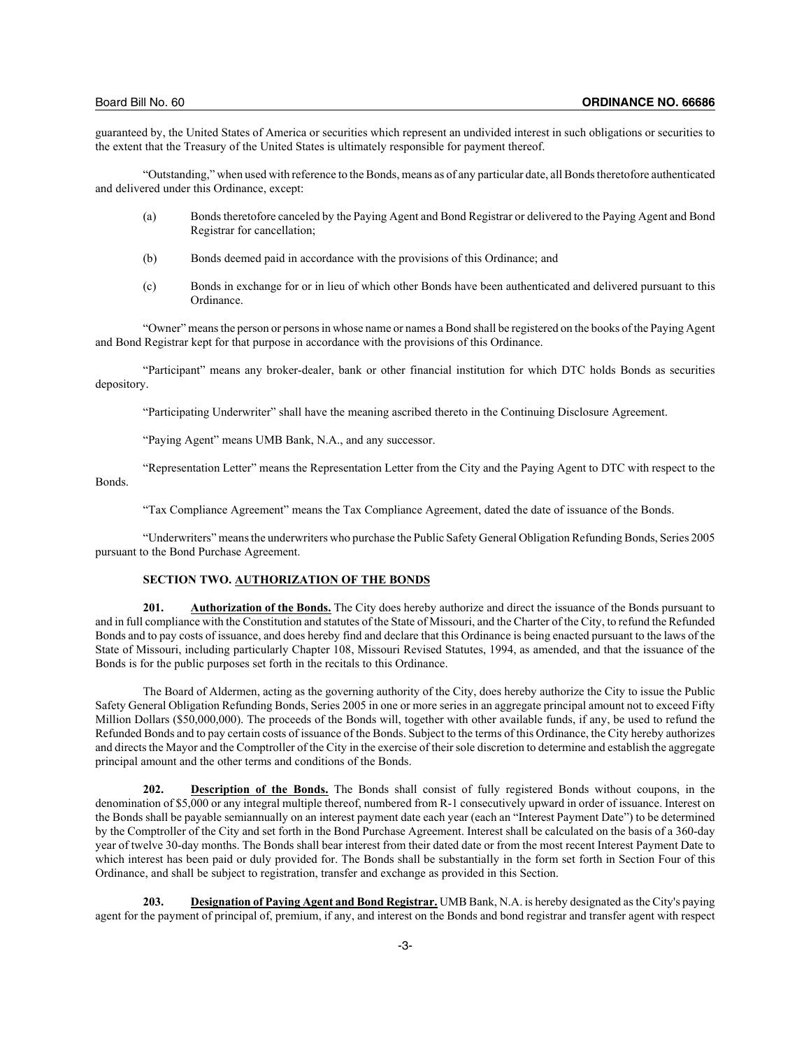guaranteed by, the United States of America or securities which represent an undivided interest in such obligations or securities to the extent that the Treasury of the United States is ultimately responsible for payment thereof.

"Outstanding," when used with reference to the Bonds, means as of any particular date, all Bonds theretofore authenticated and delivered under this Ordinance, except:

- (a) Bonds theretofore canceled by the Paying Agent and Bond Registrar or delivered to the Paying Agent and Bond Registrar for cancellation;
- (b) Bonds deemed paid in accordance with the provisions of this Ordinance; and
- (c) Bonds in exchange for or in lieu of which other Bonds have been authenticated and delivered pursuant to this Ordinance.

"Owner" means the person or persons in whose name or names a Bond shall be registered on the books of the Paying Agent and Bond Registrar kept for that purpose in accordance with the provisions of this Ordinance.

"Participant" means any broker-dealer, bank or other financial institution for which DTC holds Bonds as securities depository.

"Participating Underwriter" shall have the meaning ascribed thereto in the Continuing Disclosure Agreement.

"Paying Agent" means UMB Bank, N.A., and any successor.

"Representation Letter" means the Representation Letter from the City and the Paying Agent to DTC with respect to the Bonds.

"Tax Compliance Agreement" means the Tax Compliance Agreement, dated the date of issuance of the Bonds.

"Underwriters" means the underwriters who purchase the Public Safety General Obligation Refunding Bonds, Series 2005 pursuant to the Bond Purchase Agreement.

## **SECTION TWO. AUTHORIZATION OF THE BONDS**

**201. Authorization of the Bonds.** The City does hereby authorize and direct the issuance of the Bonds pursuant to and in full compliance with the Constitution and statutes of the State of Missouri, and the Charter of the City, to refund the Refunded Bonds and to pay costs of issuance, and does hereby find and declare that this Ordinance is being enacted pursuant to the laws of the State of Missouri, including particularly Chapter 108, Missouri Revised Statutes, 1994, as amended, and that the issuance of the Bonds is for the public purposes set forth in the recitals to this Ordinance.

The Board of Aldermen, acting as the governing authority of the City, does hereby authorize the City to issue the Public Safety General Obligation Refunding Bonds, Series 2005 in one or more series in an aggregate principal amount not to exceed Fifty Million Dollars (\$50,000,000). The proceeds of the Bonds will, together with other available funds, if any, be used to refund the Refunded Bonds and to pay certain costs of issuance of the Bonds. Subject to the terms of this Ordinance, the City hereby authorizes and directs the Mayor and the Comptroller of the City in the exercise of their sole discretion to determine and establish the aggregate principal amount and the other terms and conditions of the Bonds.

**202. Description of the Bonds.** The Bonds shall consist of fully registered Bonds without coupons, in the denomination of \$5,000 or any integral multiple thereof, numbered from R-1 consecutively upward in order of issuance. Interest on the Bonds shall be payable semiannually on an interest payment date each year (each an "Interest Payment Date") to be determined by the Comptroller of the City and set forth in the Bond Purchase Agreement. Interest shall be calculated on the basis of a 360-day year of twelve 30-day months. The Bonds shall bear interest from their dated date or from the most recent Interest Payment Date to which interest has been paid or duly provided for. The Bonds shall be substantially in the form set forth in Section Four of this Ordinance, and shall be subject to registration, transfer and exchange as provided in this Section.

**203. Designation of Paying Agent and Bond Registrar.** UMB Bank, N.A. is hereby designated as the City's paying agent for the payment of principal of, premium, if any, and interest on the Bonds and bond registrar and transfer agent with respect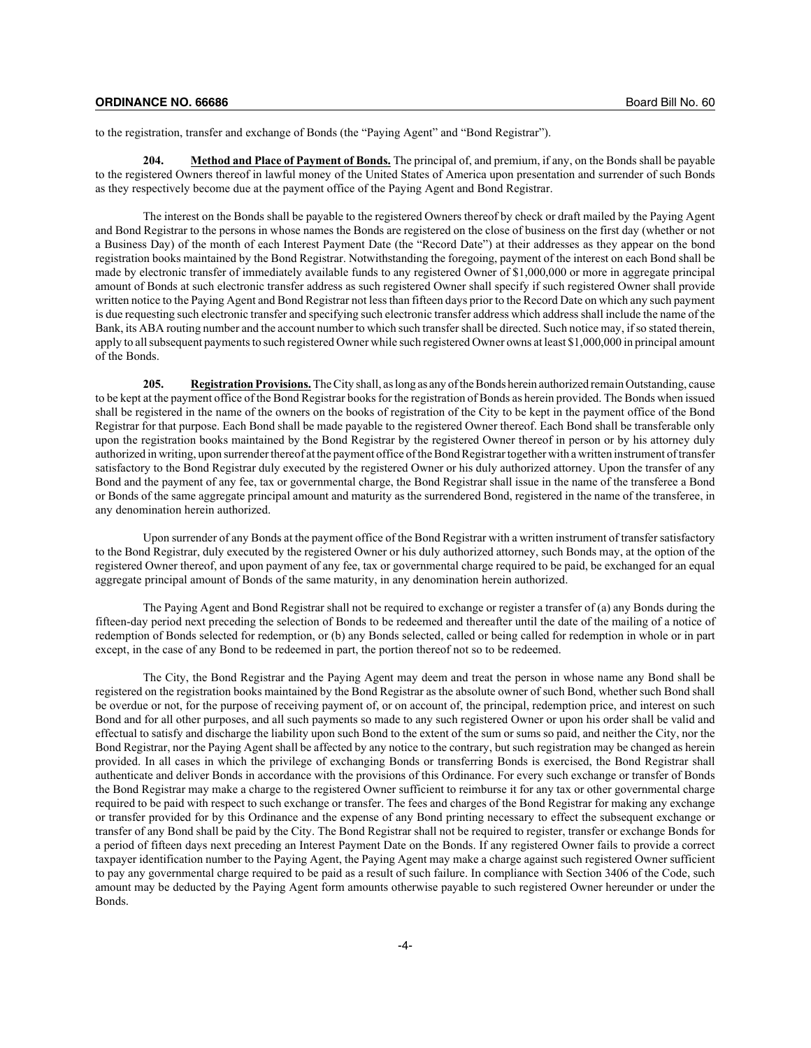to the registration, transfer and exchange of Bonds (the "Paying Agent" and "Bond Registrar").

**204. Method and Place of Payment of Bonds.** The principal of, and premium, if any, on the Bonds shall be payable to the registered Owners thereof in lawful money of the United States of America upon presentation and surrender of such Bonds as they respectively become due at the payment office of the Paying Agent and Bond Registrar.

The interest on the Bonds shall be payable to the registered Owners thereof by check or draft mailed by the Paying Agent and Bond Registrar to the persons in whose names the Bonds are registered on the close of business on the first day (whether or not a Business Day) of the month of each Interest Payment Date (the "Record Date") at their addresses as they appear on the bond registration books maintained by the Bond Registrar. Notwithstanding the foregoing, payment of the interest on each Bond shall be made by electronic transfer of immediately available funds to any registered Owner of \$1,000,000 or more in aggregate principal amount of Bonds at such electronic transfer address as such registered Owner shall specify if such registered Owner shall provide written notice to the Paying Agent and Bond Registrar not less than fifteen days prior to the Record Date on which any such payment is due requesting such electronic transfer and specifying such electronic transfer address which address shall include the name of the Bank, its ABA routing number and the account number to which such transfer shall be directed. Such notice may, if so stated therein, apply to all subsequent payments to such registered Owner while such registered Owner owns at least \$1,000,000 in principal amount of the Bonds.

**205. Registration Provisions.**The City shall, as long as any of the Bonds herein authorized remain Outstanding, cause to be kept at the payment office of the Bond Registrar books for the registration of Bonds as herein provided. The Bonds when issued shall be registered in the name of the owners on the books of registration of the City to be kept in the payment office of the Bond Registrar for that purpose. Each Bond shall be made payable to the registered Owner thereof. Each Bond shall be transferable only upon the registration books maintained by the Bond Registrar by the registered Owner thereof in person or by his attorney duly authorized in writing, upon surrender thereof at the payment office of the Bond Registrar together with a written instrument of transfer satisfactory to the Bond Registrar duly executed by the registered Owner or his duly authorized attorney. Upon the transfer of any Bond and the payment of any fee, tax or governmental charge, the Bond Registrar shall issue in the name of the transferee a Bond or Bonds of the same aggregate principal amount and maturity as the surrendered Bond, registered in the name of the transferee, in any denomination herein authorized.

Upon surrender of any Bonds at the payment office of the Bond Registrar with a written instrument of transfer satisfactory to the Bond Registrar, duly executed by the registered Owner or his duly authorized attorney, such Bonds may, at the option of the registered Owner thereof, and upon payment of any fee, tax or governmental charge required to be paid, be exchanged for an equal aggregate principal amount of Bonds of the same maturity, in any denomination herein authorized.

The Paying Agent and Bond Registrar shall not be required to exchange or register a transfer of (a) any Bonds during the fifteen-day period next preceding the selection of Bonds to be redeemed and thereafter until the date of the mailing of a notice of redemption of Bonds selected for redemption, or (b) any Bonds selected, called or being called for redemption in whole or in part except, in the case of any Bond to be redeemed in part, the portion thereof not so to be redeemed.

The City, the Bond Registrar and the Paying Agent may deem and treat the person in whose name any Bond shall be registered on the registration books maintained by the Bond Registrar as the absolute owner of such Bond, whether such Bond shall be overdue or not, for the purpose of receiving payment of, or on account of, the principal, redemption price, and interest on such Bond and for all other purposes, and all such payments so made to any such registered Owner or upon his order shall be valid and effectual to satisfy and discharge the liability upon such Bond to the extent of the sum or sums so paid, and neither the City, nor the Bond Registrar, nor the Paying Agent shall be affected by any notice to the contrary, but such registration may be changed as herein provided. In all cases in which the privilege of exchanging Bonds or transferring Bonds is exercised, the Bond Registrar shall authenticate and deliver Bonds in accordance with the provisions of this Ordinance. For every such exchange or transfer of Bonds the Bond Registrar may make a charge to the registered Owner sufficient to reimburse it for any tax or other governmental charge required to be paid with respect to such exchange or transfer. The fees and charges of the Bond Registrar for making any exchange or transfer provided for by this Ordinance and the expense of any Bond printing necessary to effect the subsequent exchange or transfer of any Bond shall be paid by the City. The Bond Registrar shall not be required to register, transfer or exchange Bonds for a period of fifteen days next preceding an Interest Payment Date on the Bonds. If any registered Owner fails to provide a correct taxpayer identification number to the Paying Agent, the Paying Agent may make a charge against such registered Owner sufficient to pay any governmental charge required to be paid as a result of such failure. In compliance with Section 3406 of the Code, such amount may be deducted by the Paying Agent form amounts otherwise payable to such registered Owner hereunder or under the Bonds.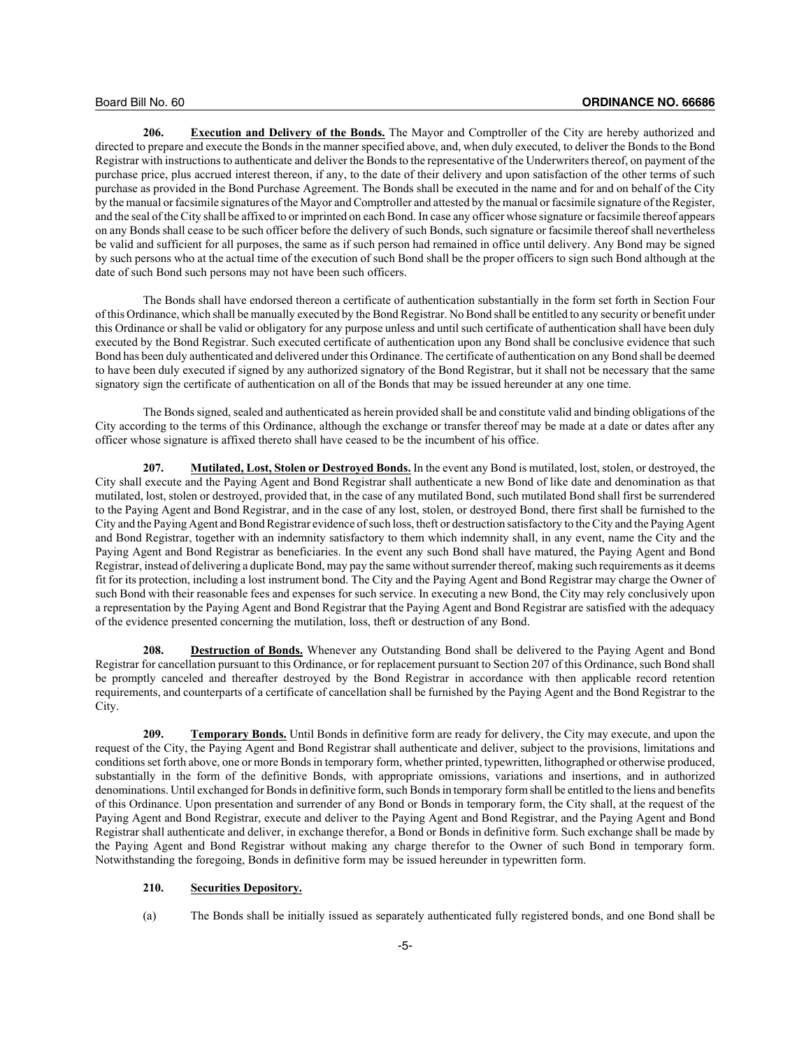**206. Execution and Delivery of the Bonds.** The Mayor and Comptroller of the City are hereby authorized and directed to prepare and execute the Bonds in the manner specified above, and, when duly executed, to deliver the Bonds to the Bond Registrar with instructions to authenticate and deliver the Bonds to the representative of the Underwriters thereof, on payment of the purchase price, plus accrued interest thereon, if any, to the date of their delivery and upon satisfaction of the other terms of such purchase as provided in the Bond Purchase Agreement. The Bonds shall be executed in the name and for and on behalf of the City by the manual or facsimile signatures of the Mayor and Comptroller and attested by the manual or facsimile signature of the Register, and the seal of the City shall be affixed to or imprinted on each Bond. In case any officer whose signature or facsimile thereof appears on any Bonds shall cease to be such officer before the delivery of such Bonds, such signature or facsimile thereof shall nevertheless be valid and sufficient for all purposes, the same as if such person had remained in office until delivery. Any Bond may be signed by such persons who at the actual time of the execution of such Bond shall be the proper officers to sign such Bond although at the date of such Bond such persons may not have been such officers.

The Bonds shall have endorsed thereon a certificate of authentication substantially in the form set forth in Section Four of this Ordinance, which shall be manually executed by the Bond Registrar. No Bond shall be entitled to any security or benefit under this Ordinance or shall be valid or obligatory for any purpose unless and until such certificate of authentication shall have been duly executed by the Bond Registrar. Such executed certificate of authentication upon any Bond shall be conclusive evidence that such Bond has been duly authenticated and delivered under this Ordinance. The certificate of authentication on any Bond shall be deemed to have been duly executed if signed by any authorized signatory of the Bond Registrar, but it shall not be necessary that the same signatory sign the certificate of authentication on all of the Bonds that may be issued hereunder at any one time.

The Bonds signed, sealed and authenticated as herein provided shall be and constitute valid and binding obligations of the City according to the terms of this Ordinance, although the exchange or transfer thereof may be made at a date or dates after any officer whose signature is affixed thereto shall have ceased to be the incumbent of his office.

**207. Mutilated, Lost, Stolen or Destroyed Bonds.** In the event any Bond is mutilated, lost, stolen, or destroyed, the City shall execute and the Paying Agent and Bond Registrar shall authenticate a new Bond of like date and denomination as that mutilated, lost, stolen or destroyed, provided that, in the case of any mutilated Bond, such mutilated Bond shall first be surrendered to the Paying Agent and Bond Registrar, and in the case of any lost, stolen, or destroyed Bond, there first shall be furnished to the City and the Paying Agent and Bond Registrar evidence of such loss, theft or destruction satisfactory to the City and the Paying Agent and Bond Registrar, together with an indemnity satisfactory to them which indemnity shall, in any event, name the City and the Paying Agent and Bond Registrar as beneficiaries. In the event any such Bond shall have matured, the Paying Agent and Bond Registrar, instead of delivering a duplicate Bond, may pay the same without surrender thereof, making such requirements as it deems fit for its protection, including a lost instrument bond. The City and the Paying Agent and Bond Registrar may charge the Owner of such Bond with their reasonable fees and expenses for such service. In executing a new Bond, the City may rely conclusively upon a representation by the Paying Agent and Bond Registrar that the Paying Agent and Bond Registrar are satisfied with the adequacy of the evidence presented concerning the mutilation, loss, theft or destruction of any Bond.

**208. Destruction of Bonds.** Whenever any Outstanding Bond shall be delivered to the Paying Agent and Bond Registrar for cancellation pursuant to this Ordinance, or for replacement pursuant to Section 207 of this Ordinance, such Bond shall be promptly canceled and thereafter destroyed by the Bond Registrar in accordance with then applicable record retention requirements, and counterparts of a certificate of cancellation shall be furnished by the Paying Agent and the Bond Registrar to the City.

**209. Temporary Bonds.** Until Bonds in definitive form are ready for delivery, the City may execute, and upon the request of the City, the Paying Agent and Bond Registrar shall authenticate and deliver, subject to the provisions, limitations and conditions set forth above, one or more Bonds in temporary form, whether printed, typewritten, lithographed or otherwise produced, substantially in the form of the definitive Bonds, with appropriate omissions, variations and insertions, and in authorized denominations. Until exchanged for Bonds in definitive form, such Bonds in temporary form shall be entitled to the liens and benefits of this Ordinance. Upon presentation and surrender of any Bond or Bonds in temporary form, the City shall, at the request of the Paying Agent and Bond Registrar, execute and deliver to the Paying Agent and Bond Registrar, and the Paying Agent and Bond Registrar shall authenticate and deliver, in exchange therefor, a Bond or Bonds in definitive form. Such exchange shall be made by the Paying Agent and Bond Registrar without making any charge therefor to the Owner of such Bond in temporary form. Notwithstanding the foregoing, Bonds in definitive form may be issued hereunder in typewritten form.

## **210. Securities Depository.**

(a) The Bonds shall be initially issued as separately authenticated fully registered bonds, and one Bond shall be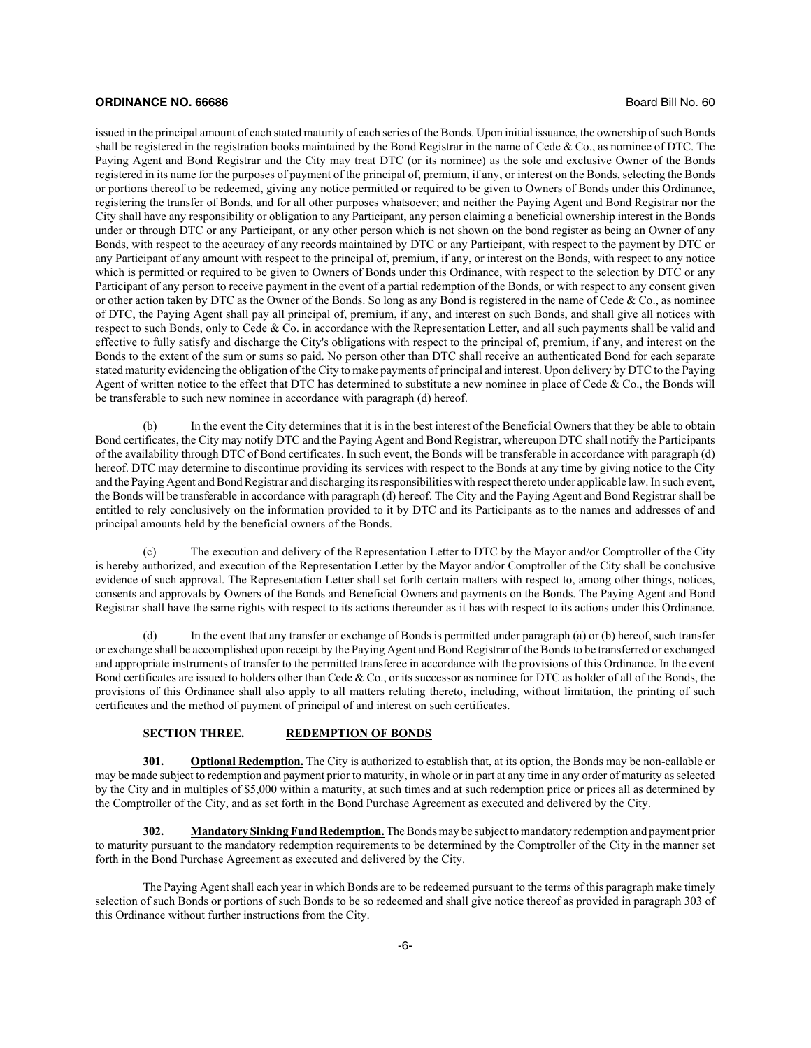issued in the principal amount of each stated maturity of each series of the Bonds. Upon initial issuance, the ownership of such Bonds shall be registered in the registration books maintained by the Bond Registrar in the name of Cede & Co., as nominee of DTC. The Paying Agent and Bond Registrar and the City may treat DTC (or its nominee) as the sole and exclusive Owner of the Bonds registered in its name for the purposes of payment of the principal of, premium, if any, or interest on the Bonds, selecting the Bonds or portions thereof to be redeemed, giving any notice permitted or required to be given to Owners of Bonds under this Ordinance, registering the transfer of Bonds, and for all other purposes whatsoever; and neither the Paying Agent and Bond Registrar nor the City shall have any responsibility or obligation to any Participant, any person claiming a beneficial ownership interest in the Bonds under or through DTC or any Participant, or any other person which is not shown on the bond register as being an Owner of any Bonds, with respect to the accuracy of any records maintained by DTC or any Participant, with respect to the payment by DTC or any Participant of any amount with respect to the principal of, premium, if any, or interest on the Bonds, with respect to any notice which is permitted or required to be given to Owners of Bonds under this Ordinance, with respect to the selection by DTC or any Participant of any person to receive payment in the event of a partial redemption of the Bonds, or with respect to any consent given or other action taken by DTC as the Owner of the Bonds. So long as any Bond is registered in the name of Cede & Co., as nominee of DTC, the Paying Agent shall pay all principal of, premium, if any, and interest on such Bonds, and shall give all notices with respect to such Bonds, only to Cede  $& Co.$  in accordance with the Representation Letter, and all such payments shall be valid and effective to fully satisfy and discharge the City's obligations with respect to the principal of, premium, if any, and interest on the Bonds to the extent of the sum or sums so paid. No person other than DTC shall receive an authenticated Bond for each separate stated maturity evidencing the obligation of the City to make payments of principal and interest. Upon delivery by DTC to the Paying Agent of written notice to the effect that DTC has determined to substitute a new nominee in place of Cede & Co., the Bonds will be transferable to such new nominee in accordance with paragraph (d) hereof.

(b) In the event the City determines that it is in the best interest of the Beneficial Owners that they be able to obtain Bond certificates, the City may notify DTC and the Paying Agent and Bond Registrar, whereupon DTC shall notify the Participants of the availability through DTC of Bond certificates. In such event, the Bonds will be transferable in accordance with paragraph (d) hereof. DTC may determine to discontinue providing its services with respect to the Bonds at any time by giving notice to the City and the Paying Agent and Bond Registrar and discharging its responsibilities with respect thereto under applicable law. In such event, the Bonds will be transferable in accordance with paragraph (d) hereof. The City and the Paying Agent and Bond Registrar shall be entitled to rely conclusively on the information provided to it by DTC and its Participants as to the names and addresses of and principal amounts held by the beneficial owners of the Bonds.

The execution and delivery of the Representation Letter to DTC by the Mayor and/or Comptroller of the City is hereby authorized, and execution of the Representation Letter by the Mayor and/or Comptroller of the City shall be conclusive evidence of such approval. The Representation Letter shall set forth certain matters with respect to, among other things, notices, consents and approvals by Owners of the Bonds and Beneficial Owners and payments on the Bonds. The Paying Agent and Bond Registrar shall have the same rights with respect to its actions thereunder as it has with respect to its actions under this Ordinance.

In the event that any transfer or exchange of Bonds is permitted under paragraph (a) or (b) hereof, such transfer or exchange shall be accomplished upon receipt by the Paying Agent and Bond Registrar of the Bonds to be transferred or exchanged and appropriate instruments of transfer to the permitted transferee in accordance with the provisions of this Ordinance. In the event Bond certificates are issued to holders other than Cede & Co., or its successor as nominee for DTC as holder of all of the Bonds, the provisions of this Ordinance shall also apply to all matters relating thereto, including, without limitation, the printing of such certificates and the method of payment of principal of and interest on such certificates.

#### **SECTION THREE. REDEMPTION OF BONDS**

**301. Optional Redemption.** The City is authorized to establish that, at its option, the Bonds may be non-callable or may be made subject to redemption and payment prior to maturity, in whole or in part at any time in any order of maturity as selected by the City and in multiples of \$5,000 within a maturity, at such times and at such redemption price or prices all as determined by the Comptroller of the City, and as set forth in the Bond Purchase Agreement as executed and delivered by the City.

**302. Mandatory Sinking Fund Redemption.**The Bonds may be subject to mandatory redemption and payment prior to maturity pursuant to the mandatory redemption requirements to be determined by the Comptroller of the City in the manner set forth in the Bond Purchase Agreement as executed and delivered by the City.

The Paying Agent shall each year in which Bonds are to be redeemed pursuant to the terms of this paragraph make timely selection of such Bonds or portions of such Bonds to be so redeemed and shall give notice thereof as provided in paragraph 303 of this Ordinance without further instructions from the City.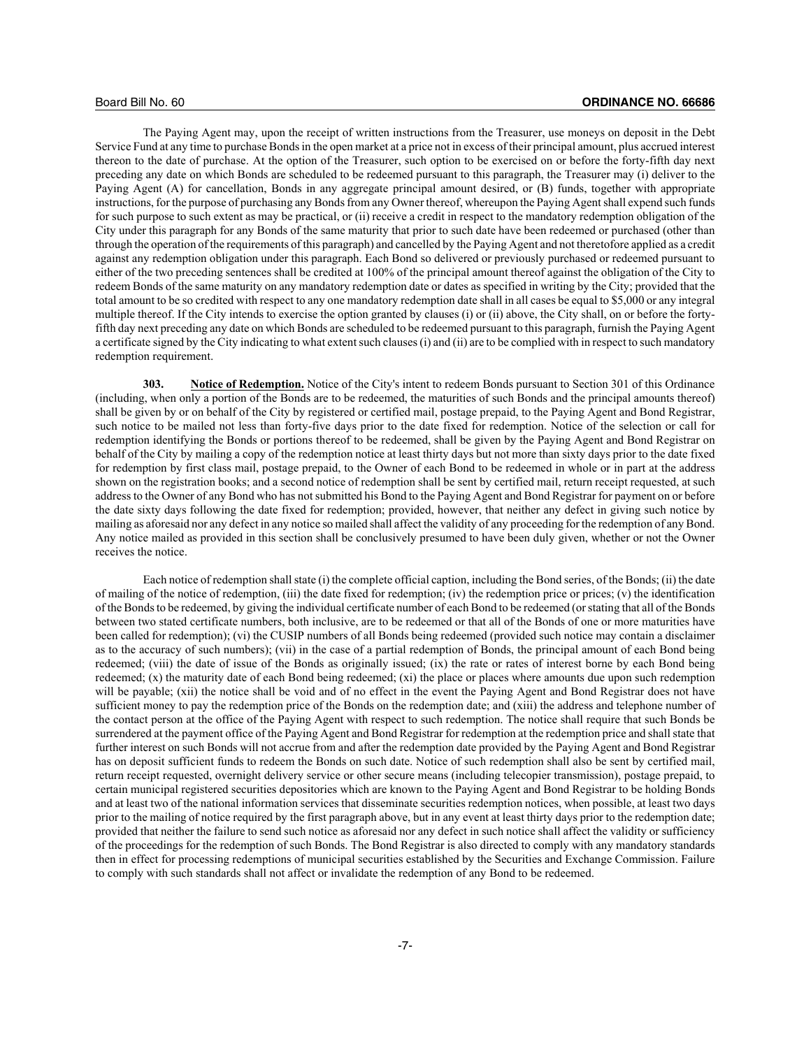The Paying Agent may, upon the receipt of written instructions from the Treasurer, use moneys on deposit in the Debt Service Fund at any time to purchase Bonds in the open market at a price not in excess of their principal amount, plus accrued interest thereon to the date of purchase. At the option of the Treasurer, such option to be exercised on or before the forty-fifth day next preceding any date on which Bonds are scheduled to be redeemed pursuant to this paragraph, the Treasurer may (i) deliver to the Paying Agent (A) for cancellation, Bonds in any aggregate principal amount desired, or (B) funds, together with appropriate instructions, for the purpose of purchasing any Bonds from any Owner thereof, whereupon the Paying Agent shall expend such funds for such purpose to such extent as may be practical, or (ii) receive a credit in respect to the mandatory redemption obligation of the City under this paragraph for any Bonds of the same maturity that prior to such date have been redeemed or purchased (other than through the operation of the requirements of this paragraph) and cancelled by the Paying Agent and not theretofore applied as a credit against any redemption obligation under this paragraph. Each Bond so delivered or previously purchased or redeemed pursuant to either of the two preceding sentences shall be credited at 100% of the principal amount thereof against the obligation of the City to redeem Bonds of the same maturity on any mandatory redemption date or dates as specified in writing by the City; provided that the total amount to be so credited with respect to any one mandatory redemption date shall in all cases be equal to \$5,000 or any integral multiple thereof. If the City intends to exercise the option granted by clauses (i) or (ii) above, the City shall, on or before the fortyfifth day next preceding any date on which Bonds are scheduled to be redeemed pursuant to this paragraph, furnish the Paying Agent a certificate signed by the City indicating to what extent such clauses (i) and (ii) are to be complied with in respect to such mandatory redemption requirement.

**303. Notice of Redemption.** Notice of the City's intent to redeem Bonds pursuant to Section 301 of this Ordinance (including, when only a portion of the Bonds are to be redeemed, the maturities of such Bonds and the principal amounts thereof) shall be given by or on behalf of the City by registered or certified mail, postage prepaid, to the Paying Agent and Bond Registrar, such notice to be mailed not less than forty-five days prior to the date fixed for redemption. Notice of the selection or call for redemption identifying the Bonds or portions thereof to be redeemed, shall be given by the Paying Agent and Bond Registrar on behalf of the City by mailing a copy of the redemption notice at least thirty days but not more than sixty days prior to the date fixed for redemption by first class mail, postage prepaid, to the Owner of each Bond to be redeemed in whole or in part at the address shown on the registration books; and a second notice of redemption shall be sent by certified mail, return receipt requested, at such address to the Owner of any Bond who has not submitted his Bond to the Paying Agent and Bond Registrar for payment on or before the date sixty days following the date fixed for redemption; provided, however, that neither any defect in giving such notice by mailing as aforesaid nor any defect in any notice so mailed shall affect the validity of any proceeding for the redemption of any Bond. Any notice mailed as provided in this section shall be conclusively presumed to have been duly given, whether or not the Owner receives the notice.

Each notice of redemption shall state (i) the complete official caption, including the Bond series, of the Bonds; (ii) the date of mailing of the notice of redemption, (iii) the date fixed for redemption; (iv) the redemption price or prices; (v) the identification of the Bonds to be redeemed, by giving the individual certificate number of each Bond to be redeemed (or stating that all of the Bonds between two stated certificate numbers, both inclusive, are to be redeemed or that all of the Bonds of one or more maturities have been called for redemption); (vi) the CUSIP numbers of all Bonds being redeemed (provided such notice may contain a disclaimer as to the accuracy of such numbers); (vii) in the case of a partial redemption of Bonds, the principal amount of each Bond being redeemed; (viii) the date of issue of the Bonds as originally issued; (ix) the rate or rates of interest borne by each Bond being redeemed; (x) the maturity date of each Bond being redeemed; (xi) the place or places where amounts due upon such redemption will be payable; (xii) the notice shall be void and of no effect in the event the Paying Agent and Bond Registrar does not have sufficient money to pay the redemption price of the Bonds on the redemption date; and (xiii) the address and telephone number of the contact person at the office of the Paying Agent with respect to such redemption. The notice shall require that such Bonds be surrendered at the payment office of the Paying Agent and Bond Registrar for redemption at the redemption price and shall state that further interest on such Bonds will not accrue from and after the redemption date provided by the Paying Agent and Bond Registrar has on deposit sufficient funds to redeem the Bonds on such date. Notice of such redemption shall also be sent by certified mail, return receipt requested, overnight delivery service or other secure means (including telecopier transmission), postage prepaid, to certain municipal registered securities depositories which are known to the Paying Agent and Bond Registrar to be holding Bonds and at least two of the national information services that disseminate securities redemption notices, when possible, at least two days prior to the mailing of notice required by the first paragraph above, but in any event at least thirty days prior to the redemption date; provided that neither the failure to send such notice as aforesaid nor any defect in such notice shall affect the validity or sufficiency of the proceedings for the redemption of such Bonds. The Bond Registrar is also directed to comply with any mandatory standards then in effect for processing redemptions of municipal securities established by the Securities and Exchange Commission. Failure to comply with such standards shall not affect or invalidate the redemption of any Bond to be redeemed.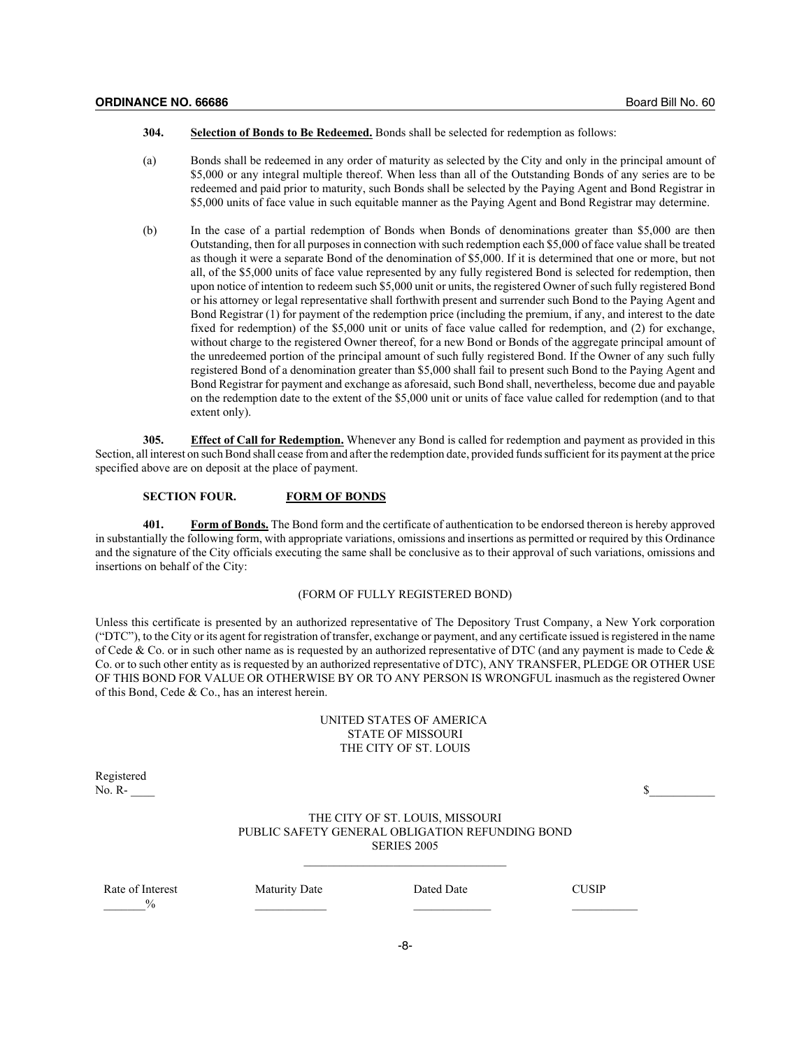- **304. Selection of Bonds to Be Redeemed.** Bonds shall be selected for redemption as follows:
- (a) Bonds shall be redeemed in any order of maturity as selected by the City and only in the principal amount of \$5,000 or any integral multiple thereof. When less than all of the Outstanding Bonds of any series are to be redeemed and paid prior to maturity, such Bonds shall be selected by the Paying Agent and Bond Registrar in \$5,000 units of face value in such equitable manner as the Paying Agent and Bond Registrar may determine.
- (b) In the case of a partial redemption of Bonds when Bonds of denominations greater than \$5,000 are then Outstanding, then for all purposes in connection with such redemption each \$5,000 of face value shall be treated as though it were a separate Bond of the denomination of \$5,000. If it is determined that one or more, but not all, of the \$5,000 units of face value represented by any fully registered Bond is selected for redemption, then upon notice of intention to redeem such \$5,000 unit or units, the registered Owner of such fully registered Bond or his attorney or legal representative shall forthwith present and surrender such Bond to the Paying Agent and Bond Registrar (1) for payment of the redemption price (including the premium, if any, and interest to the date fixed for redemption) of the \$5,000 unit or units of face value called for redemption, and (2) for exchange, without charge to the registered Owner thereof, for a new Bond or Bonds of the aggregate principal amount of the unredeemed portion of the principal amount of such fully registered Bond. If the Owner of any such fully registered Bond of a denomination greater than \$5,000 shall fail to present such Bond to the Paying Agent and Bond Registrar for payment and exchange as aforesaid, such Bond shall, nevertheless, become due and payable on the redemption date to the extent of the \$5,000 unit or units of face value called for redemption (and to that extent only).

**305. Effect of Call for Redemption.** Whenever any Bond is called for redemption and payment as provided in this Section, all interest on such Bond shall cease from and after the redemption date, provided funds sufficient for its payment at the price specified above are on deposit at the place of payment.

#### **SECTION FOUR. FORM OF BONDS**

**401. Form of Bonds.** The Bond form and the certificate of authentication to be endorsed thereon is hereby approved in substantially the following form, with appropriate variations, omissions and insertions as permitted or required by this Ordinance and the signature of the City officials executing the same shall be conclusive as to their approval of such variations, omissions and insertions on behalf of the City:

#### (FORM OF FULLY REGISTERED BOND)

Unless this certificate is presented by an authorized representative of The Depository Trust Company, a New York corporation ("DTC"), to the City or its agent for registration of transfer, exchange or payment, and any certificate issued is registered in the name of Cede & Co. or in such other name as is requested by an authorized representative of DTC (and any payment is made to Cede & Co. or to such other entity as is requested by an authorized representative of DTC), ANY TRANSFER, PLEDGE OR OTHER USE OF THIS BOND FOR VALUE OR OTHERWISE BY OR TO ANY PERSON IS WRONGFUL inasmuch as the registered Owner of this Bond, Cede & Co., has an interest herein.

## UNITED STATES OF AMERICA STATE OF MISSOURI THE CITY OF ST. LOUIS

Registered<br>No. R-

| __     |      |  |
|--------|------|--|
| No. R- | - -  |  |
|        | - 11 |  |
|        |      |  |

## THE CITY OF ST. LOUIS, MISSOURI PUBLIC SAFETY GENERAL OBLIGATION REFUNDING BOND SERIES 2005  $\mathcal{L}_\text{max}$

Rate of Interest **Maturity Date** Dated Date **Dated Date** CUSIP  $\frac{9}{6}$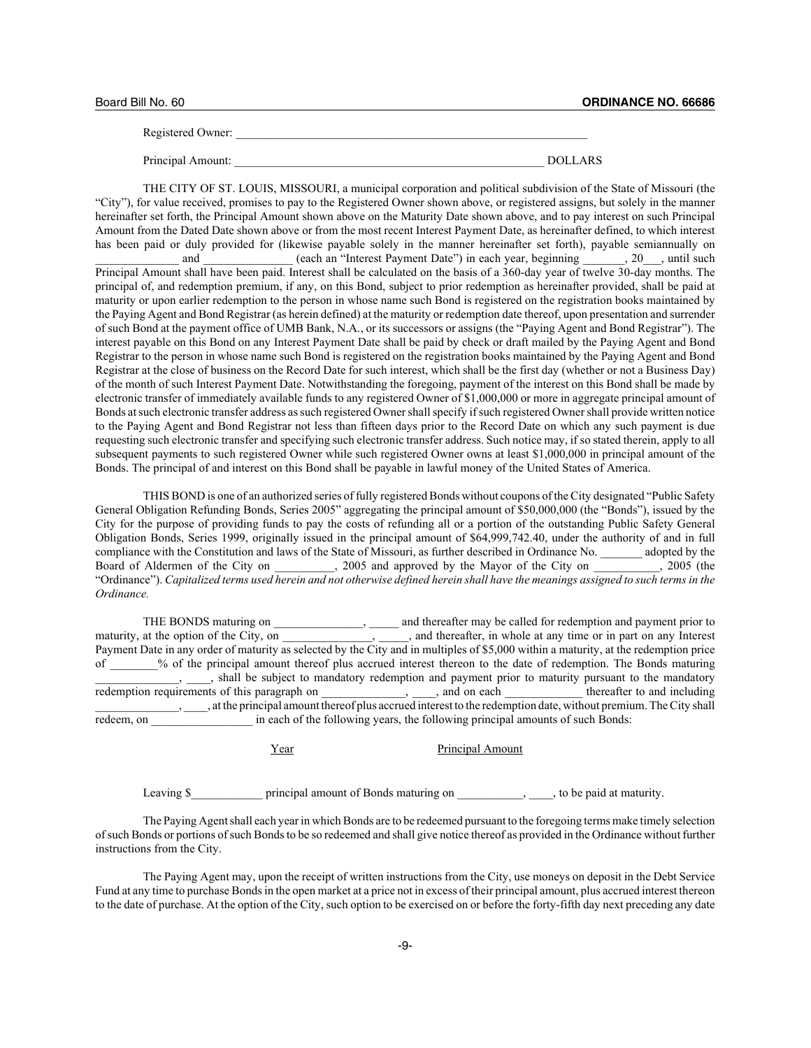| Board Bill No. 60 |  |  |  |
|-------------------|--|--|--|
|-------------------|--|--|--|

Registered Owner:

Principal Amount: \_\_\_\_\_\_\_\_\_\_\_\_\_\_\_\_\_\_\_\_\_\_\_\_\_\_\_\_\_\_\_\_\_\_\_\_\_\_\_\_\_\_\_\_\_\_\_\_\_\_\_\_ DOLLARS

THE CITY OF ST. LOUIS, MISSOURI, a municipal corporation and political subdivision of the State of Missouri (the "City"), for value received, promises to pay to the Registered Owner shown above, or registered assigns, but solely in the manner hereinafter set forth, the Principal Amount shown above on the Maturity Date shown above, and to pay interest on such Principal Amount from the Dated Date shown above or from the most recent Interest Payment Date, as hereinafter defined, to which interest has been paid or duly provided for (likewise payable solely in the manner hereinafter set forth), payable semiannually on and \_\_\_\_\_\_\_\_ (each an "Interest Payment Date") in each year, beginning \_\_\_\_\_\_, 20\_\_\_, until such Principal Amount shall have been paid. Interest shall be calculated on the basis of a 360-day year of twelve 30-day months. The principal of, and redemption premium, if any, on this Bond, subject to prior redemption as hereinafter provided, shall be paid at maturity or upon earlier redemption to the person in whose name such Bond is registered on the registration books maintained by the Paying Agent and Bond Registrar (as herein defined) at the maturity or redemption date thereof, upon presentation and surrender of such Bond at the payment office of UMB Bank, N.A., or its successors or assigns (the "Paying Agent and Bond Registrar"). The interest payable on this Bond on any Interest Payment Date shall be paid by check or draft mailed by the Paying Agent and Bond Registrar to the person in whose name such Bond is registered on the registration books maintained by the Paying Agent and Bond Registrar at the close of business on the Record Date for such interest, which shall be the first day (whether or not a Business Day) of the month of such Interest Payment Date. Notwithstanding the foregoing, payment of the interest on this Bond shall be made by electronic transfer of immediately available funds to any registered Owner of \$1,000,000 or more in aggregate principal amount of Bonds at such electronic transfer address as such registered Owner shall specify if such registered Owner shall provide written notice to the Paying Agent and Bond Registrar not less than fifteen days prior to the Record Date on which any such payment is due requesting such electronic transfer and specifying such electronic transfer address. Such notice may, if so stated therein, apply to all subsequent payments to such registered Owner while such registered Owner owns at least \$1,000,000 in principal amount of the Bonds. The principal of and interest on this Bond shall be payable in lawful money of the United States of America.

THIS BOND is one of an authorized series of fully registered Bonds without coupons of the City designated "Public Safety General Obligation Refunding Bonds, Series 2005" aggregating the principal amount of \$50,000,000 (the "Bonds"), issued by the City for the purpose of providing funds to pay the costs of refunding all or a portion of the outstanding Public Safety General Obligation Bonds, Series 1999, originally issued in the principal amount of \$64,999,742.40, under the authority of and in full compliance with the Constitution and laws of the State of Missouri, as further described in Ordinance No. \_\_\_\_\_\_\_ adopted by the Board of Aldermen of the City on  $\qquad \qquad$ , 2005 and approved by the Mayor of the City on  $\qquad \qquad$ , 2005 (the "Ordinance"). *Capitalized terms used herein and not otherwise defined herein shall have the meanings assigned to such terms in the Ordinance.*

THE BONDS maturing on \_\_\_\_\_\_\_\_\_\_\_\_\_\_, \_\_\_\_\_\_ and thereafter may be called for redemption and payment prior to maturity, at the option of the City, on  $\qquad \qquad$ , and thereafter, in whole at any time or in part on any Interest Payment Date in any order of maturity as selected by the City and in multiples of \$5,000 within a maturity, at the redemption price of \_\_\_\_\_\_\_\_% of the principal amount thereof plus accrued interest thereon to the date of redemption. The Bonds maturing <sub>\_\_\_\_\_</sub>, \_\_\_\_, shall be subject to mandatory redemption and payment prior to maturity pursuant to the mandatory redemption requirements of this paragraph on  $\Box$ ,  $\Box$ , and on each  $\Box$  thereafter to and including \_\_\_\_\_\_\_\_\_\_\_\_\_\_, \_\_\_\_, at the principal amount thereof plus accrued interest to the redemption date, without premium. The City shall redeem, on \_\_\_\_\_\_\_\_\_\_\_\_\_\_\_\_\_ in each of the following years, the following principal amounts of such Bonds:

Year Principal Amount

Leaving \$ principal amount of Bonds maturing on \_\_\_\_\_\_\_\_\_, \_\_\_, to be paid at maturity.

The Paying Agent shall each year in which Bonds are to be redeemed pursuant to the foregoing terms make timely selection of such Bonds or portions of such Bonds to be so redeemed and shall give notice thereof as provided in the Ordinance without further instructions from the City.

The Paying Agent may, upon the receipt of written instructions from the City, use moneys on deposit in the Debt Service Fund at any time to purchase Bonds in the open market at a price not in excess of their principal amount, plus accrued interest thereon to the date of purchase. At the option of the City, such option to be exercised on or before the forty-fifth day next preceding any date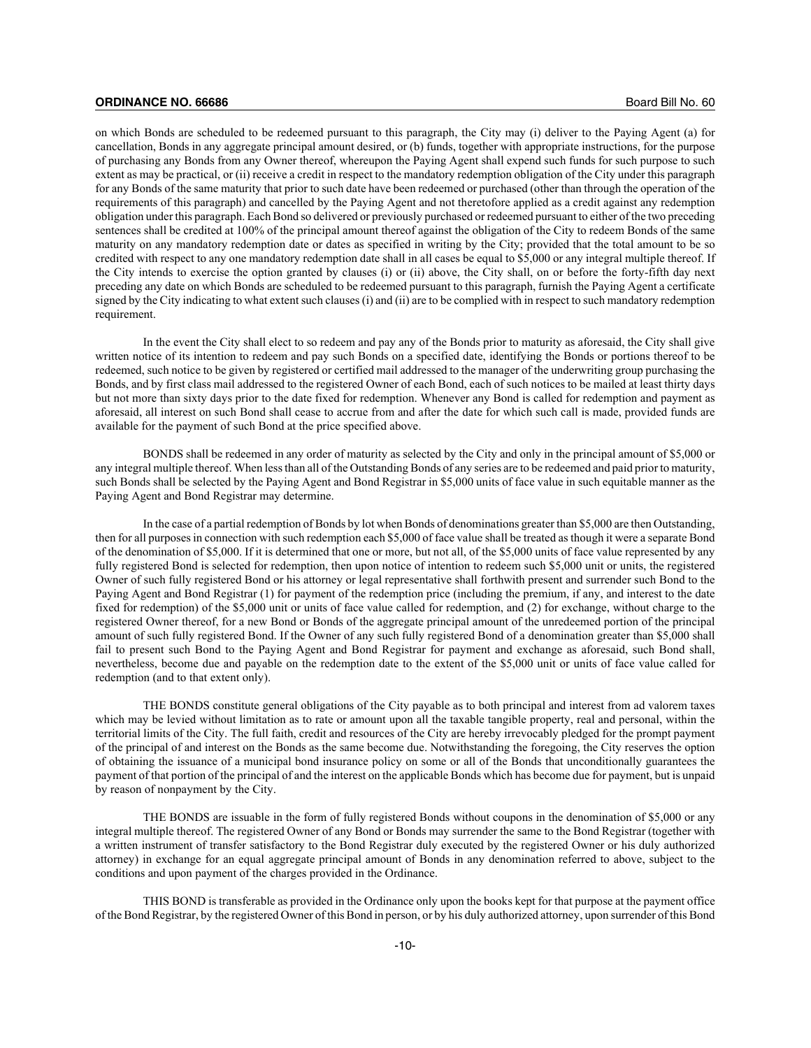on which Bonds are scheduled to be redeemed pursuant to this paragraph, the City may (i) deliver to the Paying Agent (a) for cancellation, Bonds in any aggregate principal amount desired, or (b) funds, together with appropriate instructions, for the purpose of purchasing any Bonds from any Owner thereof, whereupon the Paying Agent shall expend such funds for such purpose to such extent as may be practical, or (ii) receive a credit in respect to the mandatory redemption obligation of the City under this paragraph for any Bonds of the same maturity that prior to such date have been redeemed or purchased (other than through the operation of the requirements of this paragraph) and cancelled by the Paying Agent and not theretofore applied as a credit against any redemption obligation under this paragraph. Each Bond so delivered or previously purchased or redeemed pursuant to either of the two preceding sentences shall be credited at 100% of the principal amount thereof against the obligation of the City to redeem Bonds of the same maturity on any mandatory redemption date or dates as specified in writing by the City; provided that the total amount to be so credited with respect to any one mandatory redemption date shall in all cases be equal to \$5,000 or any integral multiple thereof. If the City intends to exercise the option granted by clauses (i) or (ii) above, the City shall, on or before the forty-fifth day next preceding any date on which Bonds are scheduled to be redeemed pursuant to this paragraph, furnish the Paying Agent a certificate signed by the City indicating to what extent such clauses (i) and (ii) are to be complied with in respect to such mandatory redemption requirement.

In the event the City shall elect to so redeem and pay any of the Bonds prior to maturity as aforesaid, the City shall give written notice of its intention to redeem and pay such Bonds on a specified date, identifying the Bonds or portions thereof to be redeemed, such notice to be given by registered or certified mail addressed to the manager of the underwriting group purchasing the Bonds, and by first class mail addressed to the registered Owner of each Bond, each of such notices to be mailed at least thirty days but not more than sixty days prior to the date fixed for redemption. Whenever any Bond is called for redemption and payment as aforesaid, all interest on such Bond shall cease to accrue from and after the date for which such call is made, provided funds are available for the payment of such Bond at the price specified above.

BONDS shall be redeemed in any order of maturity as selected by the City and only in the principal amount of \$5,000 or any integral multiple thereof. When less than all of the Outstanding Bonds of any series are to be redeemed and paid prior to maturity, such Bonds shall be selected by the Paying Agent and Bond Registrar in \$5,000 units of face value in such equitable manner as the Paying Agent and Bond Registrar may determine.

In the case of a partial redemption of Bonds by lot when Bonds of denominations greater than \$5,000 are then Outstanding, then for all purposes in connection with such redemption each \$5,000 of face value shall be treated as though it were a separate Bond of the denomination of \$5,000. If it is determined that one or more, but not all, of the \$5,000 units of face value represented by any fully registered Bond is selected for redemption, then upon notice of intention to redeem such \$5,000 unit or units, the registered Owner of such fully registered Bond or his attorney or legal representative shall forthwith present and surrender such Bond to the Paying Agent and Bond Registrar (1) for payment of the redemption price (including the premium, if any, and interest to the date fixed for redemption) of the \$5,000 unit or units of face value called for redemption, and (2) for exchange, without charge to the registered Owner thereof, for a new Bond or Bonds of the aggregate principal amount of the unredeemed portion of the principal amount of such fully registered Bond. If the Owner of any such fully registered Bond of a denomination greater than \$5,000 shall fail to present such Bond to the Paying Agent and Bond Registrar for payment and exchange as aforesaid, such Bond shall, nevertheless, become due and payable on the redemption date to the extent of the \$5,000 unit or units of face value called for redemption (and to that extent only).

THE BONDS constitute general obligations of the City payable as to both principal and interest from ad valorem taxes which may be levied without limitation as to rate or amount upon all the taxable tangible property, real and personal, within the territorial limits of the City. The full faith, credit and resources of the City are hereby irrevocably pledged for the prompt payment of the principal of and interest on the Bonds as the same become due. Notwithstanding the foregoing, the City reserves the option of obtaining the issuance of a municipal bond insurance policy on some or all of the Bonds that unconditionally guarantees the payment of that portion of the principal of and the interest on the applicable Bonds which has become due for payment, but is unpaid by reason of nonpayment by the City.

THE BONDS are issuable in the form of fully registered Bonds without coupons in the denomination of \$5,000 or any integral multiple thereof. The registered Owner of any Bond or Bonds may surrender the same to the Bond Registrar (together with a written instrument of transfer satisfactory to the Bond Registrar duly executed by the registered Owner or his duly authorized attorney) in exchange for an equal aggregate principal amount of Bonds in any denomination referred to above, subject to the conditions and upon payment of the charges provided in the Ordinance.

THIS BOND is transferable as provided in the Ordinance only upon the books kept for that purpose at the payment office of the Bond Registrar, by the registered Owner of this Bond in person, or by his duly authorized attorney, upon surrender of this Bond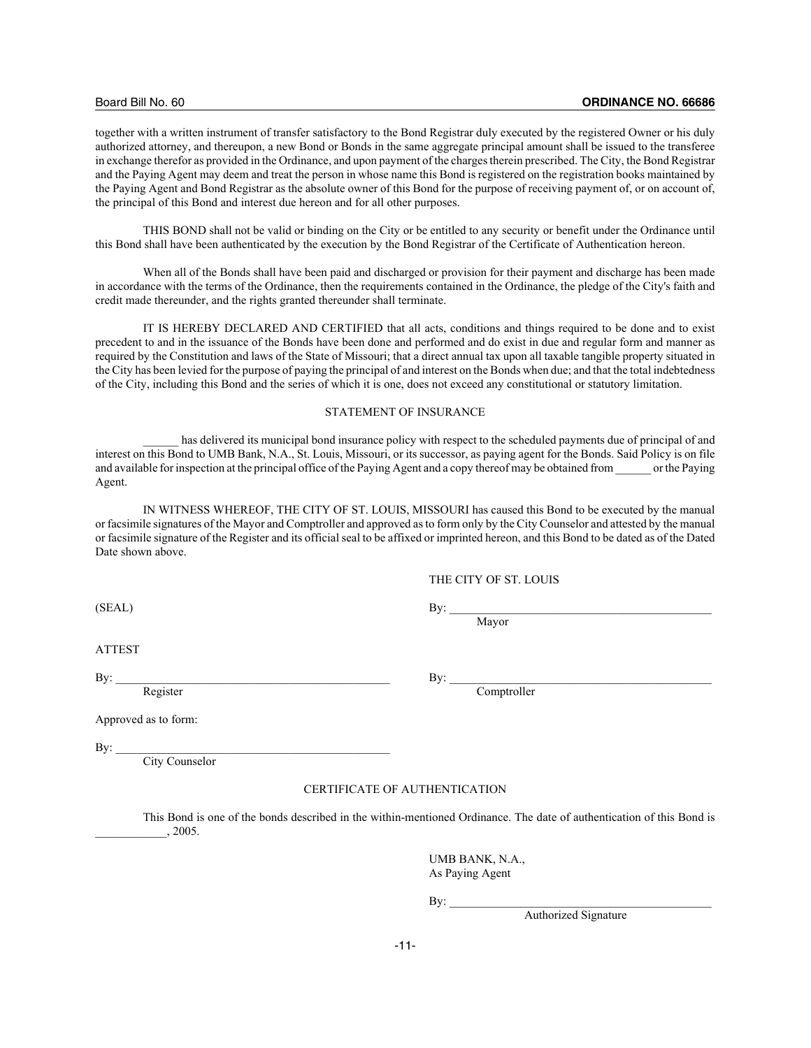together with a written instrument of transfer satisfactory to the Bond Registrar duly executed by the registered Owner or his duly authorized attorney, and thereupon, a new Bond or Bonds in the same aggregate principal amount shall be issued to the transferee in exchange therefor as provided in the Ordinance, and upon payment of the charges therein prescribed. The City, the Bond Registrar and the Paying Agent may deem and treat the person in whose name this Bond is registered on the registration books maintained by the Paying Agent and Bond Registrar as the absolute owner of this Bond for the purpose of receiving payment of, or on account of, the principal of this Bond and interest due hereon and for all other purposes.

THIS BOND shall not be valid or binding on the City or be entitled to any security or benefit under the Ordinance until this Bond shall have been authenticated by the execution by the Bond Registrar of the Certificate of Authentication hereon.

When all of the Bonds shall have been paid and discharged or provision for their payment and discharge has been made in accordance with the terms of the Ordinance, then the requirements contained in the Ordinance, the pledge of the City's faith and credit made thereunder, and the rights granted thereunder shall terminate.

IT IS HEREBY DECLARED AND CERTIFIED that all acts, conditions and things required to be done and to exist precedent to and in the issuance of the Bonds have been done and performed and do exist in due and regular form and manner as required by the Constitution and laws of the State of Missouri; that a direct annual tax upon all taxable tangible property situated in the City has been levied for the purpose of paying the principal of and interest on the Bonds when due; and that the total indebtedness of the City, including this Bond and the series of which it is one, does not exceed any constitutional or statutory limitation.

#### STATEMENT OF INSURANCE

has delivered its municipal bond insurance policy with respect to the scheduled payments due of principal of and interest on this Bond to UMB Bank, N.A., St. Louis, Missouri, or its successor, as paying agent for the Bonds. Said Policy is on file and available for inspection at the principal office of the Paying Agent and a copy thereof may be obtained from \_\_\_\_\_\_ or the Paying Agent.

IN WITNESS WHEREOF, THE CITY OF ST. LOUIS, MISSOURI has caused this Bond to be executed by the manual or facsimile signatures of the Mayor and Comptroller and approved as to form only by the City Counselor and attested by the manual or facsimile signature of the Register and its official seal to be affixed or imprinted hereon, and this Bond to be dated as of the Dated Date shown above.

#### THE CITY OF ST. LOUIS

 $\bullet$  By:  $\bullet$  By:

Mayor

ATTEST

 $\mathbf{B}$ y: Register Comptroller

Approved as to form:

 $\mathbf{By:}$ 

City Counselor

#### CERTIFICATE OF AUTHENTICATION

This Bond is one of the bonds described in the within-mentioned Ordinance. The date of authentication of this Bond is \_\_\_\_\_\_\_\_\_\_\_\_, 2005.

> UMB BANK, N.A., As Paying Agent

 $\text{By:}\_\_\$ 

Authorized Signature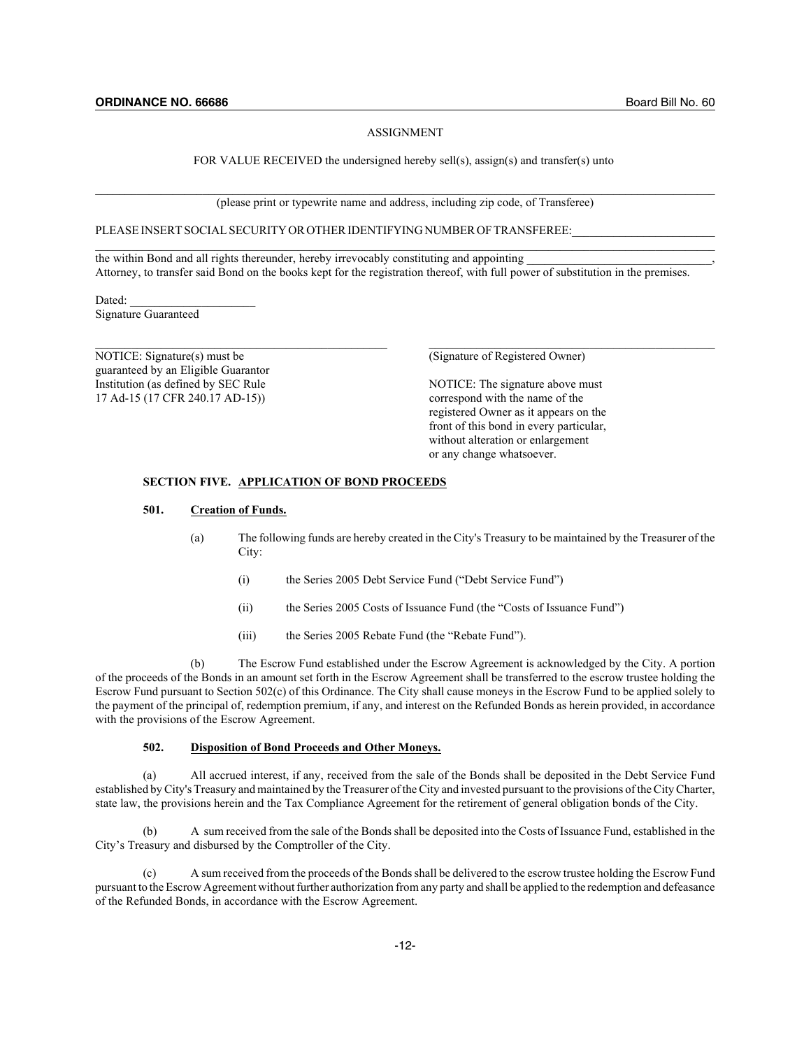#### ASSIGNMENT

#### FOR VALUE RECEIVED the undersigned hereby sell(s), assign(s) and transfer(s) unto

(please print or typewrite name and address, including zip code, of Transferee)

#### PLEASE INSERT SOCIAL SECURITY OR OTHER IDENTIFYING NUMBER OF TRANSFEREE:

the within Bond and all rights thereunder, hereby irrevocably constituting and appointing Attorney, to transfer said Bond on the books kept for the registration thereof, with full power of substitution in the premises.

Dated: Signature Guaranteed

NOTICE: Signature(s) must be (Signature of Registered Owner) guaranteed by an Eligible Guarantor Institution (as defined by SEC Rule NOTICE: The signature above must 17 Ad-15 (17 CFR 240.17 AD-15)) correspond with the name of the

registered Owner as it appears on the front of this bond in every particular, without alteration or enlargement or any change whatsoever.

#### **SECTION FIVE. APPLICATION OF BOND PROCEEDS**

## **501. Creation of Funds.**

- (a) The following funds are hereby created in the City's Treasury to be maintained by the Treasurer of the City:
	- (i) the Series 2005 Debt Service Fund ("Debt Service Fund")
	- (ii) the Series 2005 Costs of Issuance Fund (the "Costs of Issuance Fund")
	- (iii) the Series 2005 Rebate Fund (the "Rebate Fund").

(b) The Escrow Fund established under the Escrow Agreement is acknowledged by the City. A portion of the proceeds of the Bonds in an amount set forth in the Escrow Agreement shall be transferred to the escrow trustee holding the Escrow Fund pursuant to Section 502(c) of this Ordinance. The City shall cause moneys in the Escrow Fund to be applied solely to the payment of the principal of, redemption premium, if any, and interest on the Refunded Bonds as herein provided, in accordance with the provisions of the Escrow Agreement.

#### **502. Disposition of Bond Proceeds and Other Moneys.**

(a) All accrued interest, if any, received from the sale of the Bonds shall be deposited in the Debt Service Fund established by City's Treasury and maintained by the Treasurer of the City and invested pursuant to the provisions of the City Charter, state law, the provisions herein and the Tax Compliance Agreement for the retirement of general obligation bonds of the City.

A sum received from the sale of the Bonds shall be deposited into the Costs of Issuance Fund, established in the City's Treasury and disbursed by the Comptroller of the City.

(c) A sum received from the proceeds of the Bonds shall be delivered to the escrow trustee holding the Escrow Fund pursuant to the Escrow Agreement without further authorization from any party and shall be applied to the redemption and defeasance of the Refunded Bonds, in accordance with the Escrow Agreement.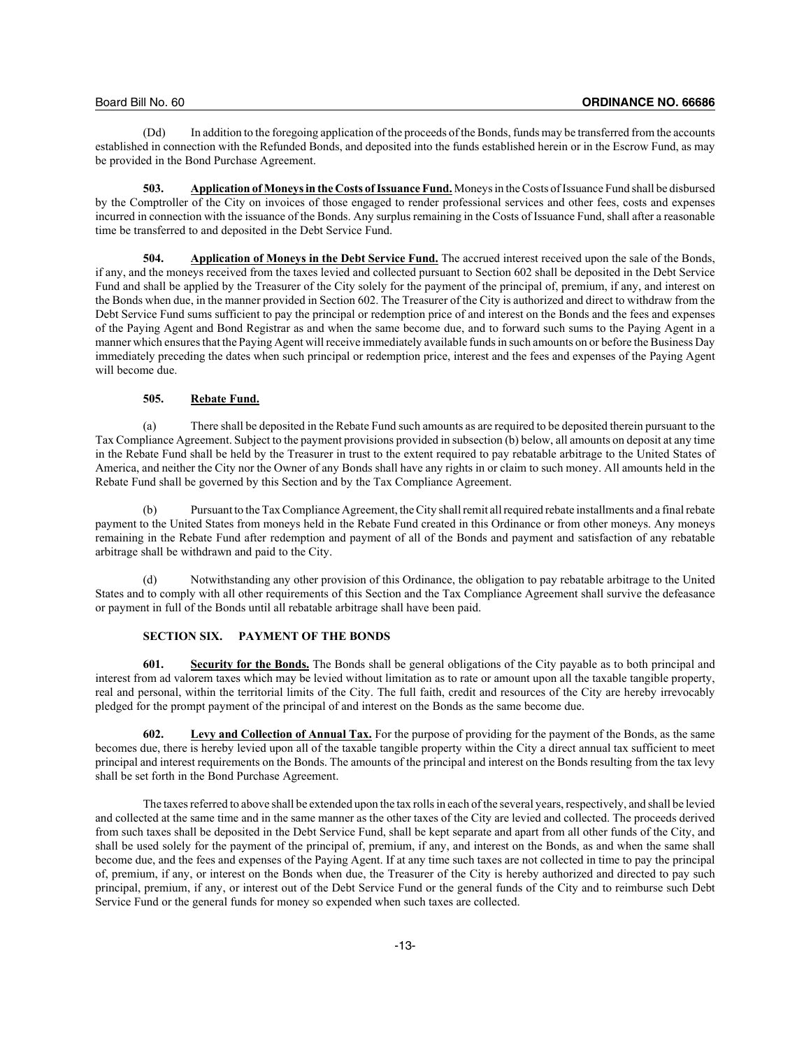(Dd) In addition to the foregoing application of the proceeds of the Bonds, funds may be transferred from the accounts established in connection with the Refunded Bonds, and deposited into the funds established herein or in the Escrow Fund, as may be provided in the Bond Purchase Agreement.

**503. Application of Moneys in the Costs of Issuance Fund.** Moneys in the Costs of Issuance Fund shall be disbursed by the Comptroller of the City on invoices of those engaged to render professional services and other fees, costs and expenses incurred in connection with the issuance of the Bonds. Any surplus remaining in the Costs of Issuance Fund, shall after a reasonable time be transferred to and deposited in the Debt Service Fund.

**504. Application of Moneys in the Debt Service Fund.** The accrued interest received upon the sale of the Bonds, if any, and the moneys received from the taxes levied and collected pursuant to Section 602 shall be deposited in the Debt Service Fund and shall be applied by the Treasurer of the City solely for the payment of the principal of, premium, if any, and interest on the Bonds when due, in the manner provided in Section 602. The Treasurer of the City is authorized and direct to withdraw from the Debt Service Fund sums sufficient to pay the principal or redemption price of and interest on the Bonds and the fees and expenses of the Paying Agent and Bond Registrar as and when the same become due, and to forward such sums to the Paying Agent in a manner which ensures that the Paying Agent will receive immediately available funds in such amounts on or before the Business Day immediately preceding the dates when such principal or redemption price, interest and the fees and expenses of the Paying Agent will become due.

#### **505. Rebate Fund.**

(a) There shall be deposited in the Rebate Fund such amounts as are required to be deposited therein pursuant to the Tax Compliance Agreement. Subject to the payment provisions provided in subsection (b) below, all amounts on deposit at any time in the Rebate Fund shall be held by the Treasurer in trust to the extent required to pay rebatable arbitrage to the United States of America, and neither the City nor the Owner of any Bonds shall have any rights in or claim to such money. All amounts held in the Rebate Fund shall be governed by this Section and by the Tax Compliance Agreement.

(b) Pursuant to the Tax Compliance Agreement, the City shall remit all required rebate installments and a final rebate payment to the United States from moneys held in the Rebate Fund created in this Ordinance or from other moneys. Any moneys remaining in the Rebate Fund after redemption and payment of all of the Bonds and payment and satisfaction of any rebatable arbitrage shall be withdrawn and paid to the City.

Notwithstanding any other provision of this Ordinance, the obligation to pay rebatable arbitrage to the United States and to comply with all other requirements of this Section and the Tax Compliance Agreement shall survive the defeasance or payment in full of the Bonds until all rebatable arbitrage shall have been paid.

#### **SECTION SIX. PAYMENT OF THE BONDS**

**601. Security for the Bonds.** The Bonds shall be general obligations of the City payable as to both principal and interest from ad valorem taxes which may be levied without limitation as to rate or amount upon all the taxable tangible property, real and personal, within the territorial limits of the City. The full faith, credit and resources of the City are hereby irrevocably pledged for the prompt payment of the principal of and interest on the Bonds as the same become due.

**602. Levy and Collection of Annual Tax.** For the purpose of providing for the payment of the Bonds, as the same becomes due, there is hereby levied upon all of the taxable tangible property within the City a direct annual tax sufficient to meet principal and interest requirements on the Bonds. The amounts of the principal and interest on the Bonds resulting from the tax levy shall be set forth in the Bond Purchase Agreement.

The taxes referred to above shall be extended upon the tax rolls in each of the several years, respectively, and shall be levied and collected at the same time and in the same manner as the other taxes of the City are levied and collected. The proceeds derived from such taxes shall be deposited in the Debt Service Fund, shall be kept separate and apart from all other funds of the City, and shall be used solely for the payment of the principal of, premium, if any, and interest on the Bonds, as and when the same shall become due, and the fees and expenses of the Paying Agent. If at any time such taxes are not collected in time to pay the principal of, premium, if any, or interest on the Bonds when due, the Treasurer of the City is hereby authorized and directed to pay such principal, premium, if any, or interest out of the Debt Service Fund or the general funds of the City and to reimburse such Debt Service Fund or the general funds for money so expended when such taxes are collected.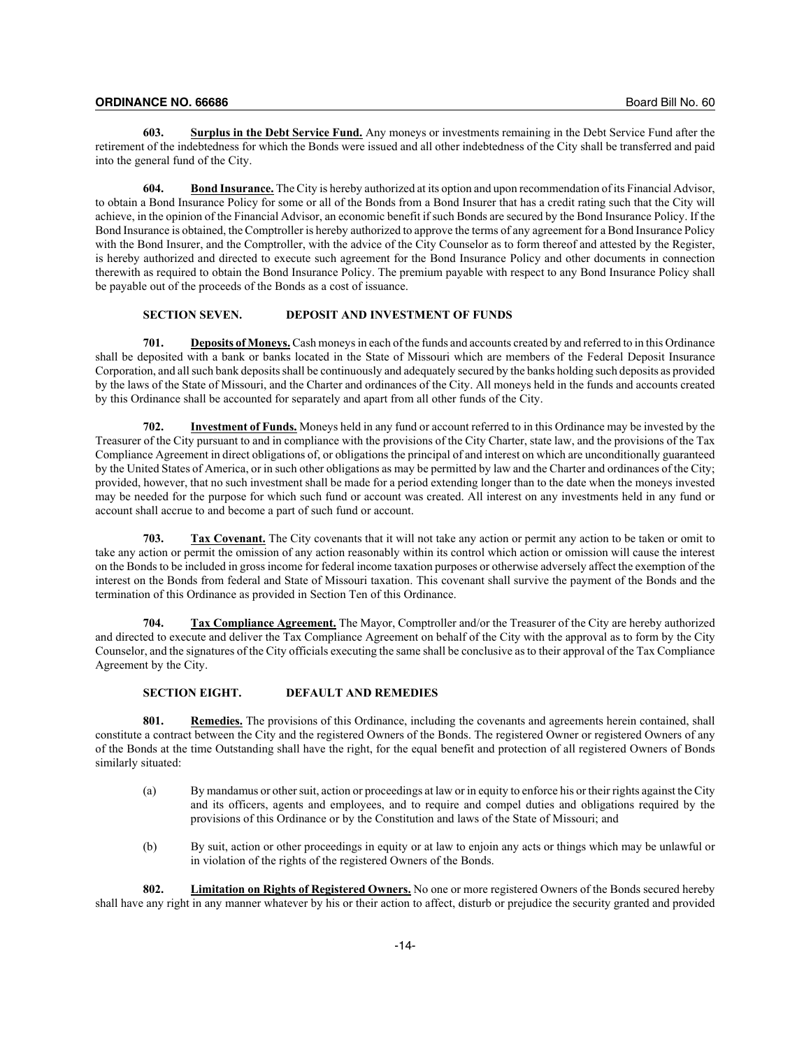**603. Surplus in the Debt Service Fund.** Any moneys or investments remaining in the Debt Service Fund after the retirement of the indebtedness for which the Bonds were issued and all other indebtedness of the City shall be transferred and paid into the general fund of the City.

**604. Bond Insurance.** The City is hereby authorized at its option and upon recommendation of its Financial Advisor, to obtain a Bond Insurance Policy for some or all of the Bonds from a Bond Insurer that has a credit rating such that the City will achieve, in the opinion of the Financial Advisor, an economic benefit if such Bonds are secured by the Bond Insurance Policy. If the Bond Insurance is obtained, the Comptroller is hereby authorized to approve the terms of any agreement for a Bond Insurance Policy with the Bond Insurer, and the Comptroller, with the advice of the City Counselor as to form thereof and attested by the Register, is hereby authorized and directed to execute such agreement for the Bond Insurance Policy and other documents in connection therewith as required to obtain the Bond Insurance Policy. The premium payable with respect to any Bond Insurance Policy shall be payable out of the proceeds of the Bonds as a cost of issuance.

## **SECTION SEVEN. DEPOSIT AND INVESTMENT OF FUNDS**

**701. Deposits of Moneys.** Cash moneys in each of the funds and accounts created by and referred to in this Ordinance shall be deposited with a bank or banks located in the State of Missouri which are members of the Federal Deposit Insurance Corporation, and all such bank deposits shall be continuously and adequately secured by the banks holding such deposits as provided by the laws of the State of Missouri, and the Charter and ordinances of the City. All moneys held in the funds and accounts created by this Ordinance shall be accounted for separately and apart from all other funds of the City.

**702. Investment of Funds.** Moneys held in any fund or account referred to in this Ordinance may be invested by the Treasurer of the City pursuant to and in compliance with the provisions of the City Charter, state law, and the provisions of the Tax Compliance Agreement in direct obligations of, or obligations the principal of and interest on which are unconditionally guaranteed by the United States of America, or in such other obligations as may be permitted by law and the Charter and ordinances of the City; provided, however, that no such investment shall be made for a period extending longer than to the date when the moneys invested may be needed for the purpose for which such fund or account was created. All interest on any investments held in any fund or account shall accrue to and become a part of such fund or account.

**703. Tax Covenant.** The City covenants that it will not take any action or permit any action to be taken or omit to take any action or permit the omission of any action reasonably within its control which action or omission will cause the interest on the Bonds to be included in gross income for federal income taxation purposes or otherwise adversely affect the exemption of the interest on the Bonds from federal and State of Missouri taxation. This covenant shall survive the payment of the Bonds and the termination of this Ordinance as provided in Section Ten of this Ordinance.

**704. Tax Compliance Agreement.** The Mayor, Comptroller and/or the Treasurer of the City are hereby authorized and directed to execute and deliver the Tax Compliance Agreement on behalf of the City with the approval as to form by the City Counselor, and the signatures of the City officials executing the same shall be conclusive as to their approval of the Tax Compliance Agreement by the City.

# **SECTION EIGHT. DEFAULT AND REMEDIES**

**801. Remedies.** The provisions of this Ordinance, including the covenants and agreements herein contained, shall constitute a contract between the City and the registered Owners of the Bonds. The registered Owner or registered Owners of any of the Bonds at the time Outstanding shall have the right, for the equal benefit and protection of all registered Owners of Bonds similarly situated:

- (a) By mandamus or other suit, action or proceedings at law or in equity to enforce his or their rights against the City and its officers, agents and employees, and to require and compel duties and obligations required by the provisions of this Ordinance or by the Constitution and laws of the State of Missouri; and
- (b) By suit, action or other proceedings in equity or at law to enjoin any acts or things which may be unlawful or in violation of the rights of the registered Owners of the Bonds.

**802. Limitation on Rights of Registered Owners.** No one or more registered Owners of the Bonds secured hereby shall have any right in any manner whatever by his or their action to affect, disturb or prejudice the security granted and provided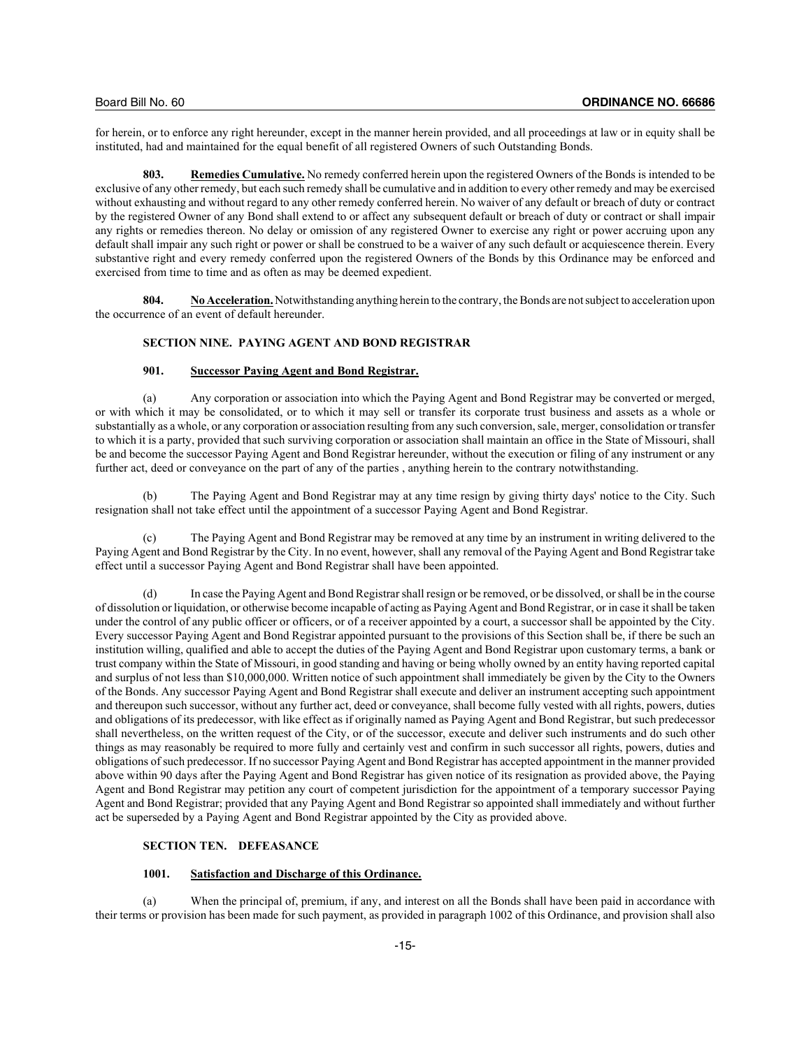for herein, or to enforce any right hereunder, except in the manner herein provided, and all proceedings at law or in equity shall be instituted, had and maintained for the equal benefit of all registered Owners of such Outstanding Bonds.

**803. Remedies Cumulative.** No remedy conferred herein upon the registered Owners of the Bonds is intended to be exclusive of any other remedy, but each such remedy shall be cumulative and in addition to every other remedy and may be exercised without exhausting and without regard to any other remedy conferred herein. No waiver of any default or breach of duty or contract by the registered Owner of any Bond shall extend to or affect any subsequent default or breach of duty or contract or shall impair any rights or remedies thereon. No delay or omission of any registered Owner to exercise any right or power accruing upon any default shall impair any such right or power or shall be construed to be a waiver of any such default or acquiescence therein. Every substantive right and every remedy conferred upon the registered Owners of the Bonds by this Ordinance may be enforced and exercised from time to time and as often as may be deemed expedient.

**804. No Acceleration.**Notwithstanding anything herein to the contrary, the Bonds are not subject to acceleration upon the occurrence of an event of default hereunder.

#### **SECTION NINE. PAYING AGENT AND BOND REGISTRAR**

# **901. Successor Paying Agent and Bond Registrar.**

(a) Any corporation or association into which the Paying Agent and Bond Registrar may be converted or merged, or with which it may be consolidated, or to which it may sell or transfer its corporate trust business and assets as a whole or substantially as a whole, or any corporation or association resulting from any such conversion, sale, merger, consolidation or transfer to which it is a party, provided that such surviving corporation or association shall maintain an office in the State of Missouri, shall be and become the successor Paying Agent and Bond Registrar hereunder, without the execution or filing of any instrument or any further act, deed or conveyance on the part of any of the parties , anything herein to the contrary notwithstanding.

(b) The Paying Agent and Bond Registrar may at any time resign by giving thirty days' notice to the City. Such resignation shall not take effect until the appointment of a successor Paying Agent and Bond Registrar.

(c) The Paying Agent and Bond Registrar may be removed at any time by an instrument in writing delivered to the Paying Agent and Bond Registrar by the City. In no event, however, shall any removal of the Paying Agent and Bond Registrar take effect until a successor Paying Agent and Bond Registrar shall have been appointed.

(d) In case the Paying Agent and Bond Registrar shall resign or be removed, or be dissolved, or shall be in the course of dissolution or liquidation, or otherwise become incapable of acting as Paying Agent and Bond Registrar, or in case it shall be taken under the control of any public officer or officers, or of a receiver appointed by a court, a successor shall be appointed by the City. Every successor Paying Agent and Bond Registrar appointed pursuant to the provisions of this Section shall be, if there be such an institution willing, qualified and able to accept the duties of the Paying Agent and Bond Registrar upon customary terms, a bank or trust company within the State of Missouri, in good standing and having or being wholly owned by an entity having reported capital and surplus of not less than \$10,000,000. Written notice of such appointment shall immediately be given by the City to the Owners of the Bonds. Any successor Paying Agent and Bond Registrar shall execute and deliver an instrument accepting such appointment and thereupon such successor, without any further act, deed or conveyance, shall become fully vested with all rights, powers, duties and obligations of its predecessor, with like effect as if originally named as Paying Agent and Bond Registrar, but such predecessor shall nevertheless, on the written request of the City, or of the successor, execute and deliver such instruments and do such other things as may reasonably be required to more fully and certainly vest and confirm in such successor all rights, powers, duties and obligations of such predecessor. If no successor Paying Agent and Bond Registrar has accepted appointment in the manner provided above within 90 days after the Paying Agent and Bond Registrar has given notice of its resignation as provided above, the Paying Agent and Bond Registrar may petition any court of competent jurisdiction for the appointment of a temporary successor Paying Agent and Bond Registrar; provided that any Paying Agent and Bond Registrar so appointed shall immediately and without further act be superseded by a Paying Agent and Bond Registrar appointed by the City as provided above.

#### **SECTION TEN. DEFEASANCE**

## **1001. Satisfaction and Discharge of this Ordinance.**

(a) When the principal of, premium, if any, and interest on all the Bonds shall have been paid in accordance with their terms or provision has been made for such payment, as provided in paragraph 1002 of this Ordinance, and provision shall also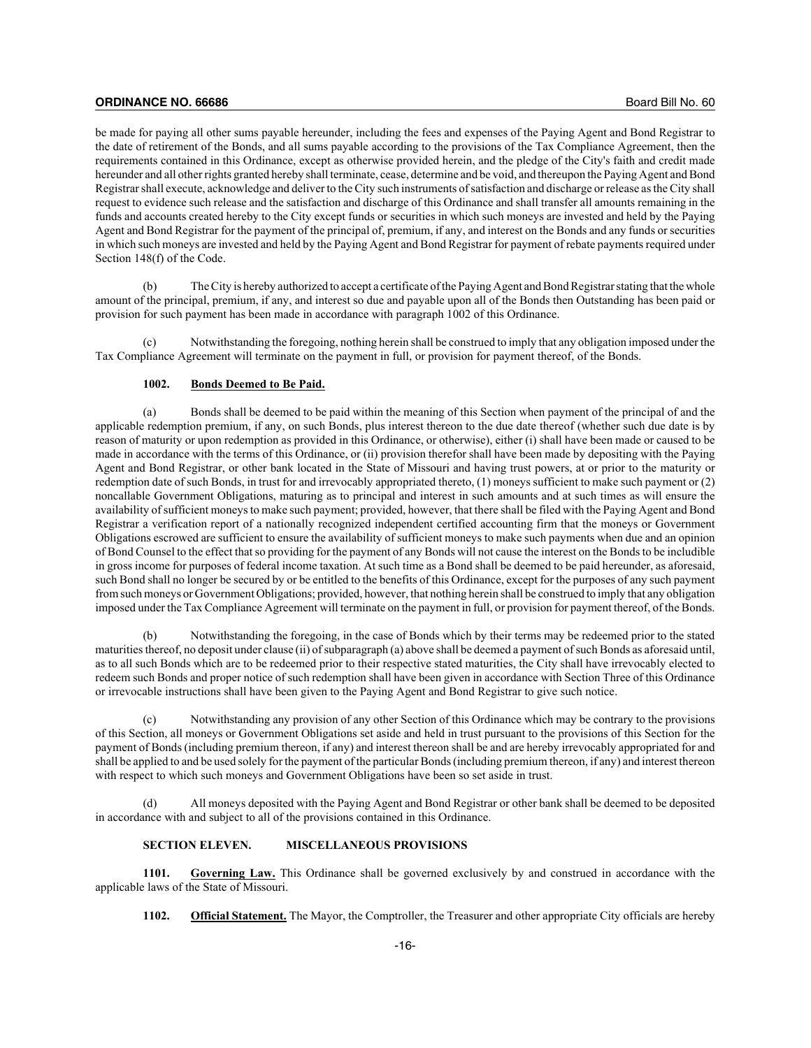be made for paying all other sums payable hereunder, including the fees and expenses of the Paying Agent and Bond Registrar to the date of retirement of the Bonds, and all sums payable according to the provisions of the Tax Compliance Agreement, then the requirements contained in this Ordinance, except as otherwise provided herein, and the pledge of the City's faith and credit made hereunder and all other rights granted hereby shall terminate, cease, determine and be void, and thereupon the Paying Agent and Bond Registrar shall execute, acknowledge and deliver to the City such instruments of satisfaction and discharge or release as the City shall request to evidence such release and the satisfaction and discharge of this Ordinance and shall transfer all amounts remaining in the funds and accounts created hereby to the City except funds or securities in which such moneys are invested and held by the Paying Agent and Bond Registrar for the payment of the principal of, premium, if any, and interest on the Bonds and any funds or securities in which such moneys are invested and held by the Paying Agent and Bond Registrar for payment of rebate payments required under Section 148(f) of the Code.

(b) The City is hereby authorized to accept a certificate of the Paying Agent and Bond Registrar stating that the whole amount of the principal, premium, if any, and interest so due and payable upon all of the Bonds then Outstanding has been paid or provision for such payment has been made in accordance with paragraph 1002 of this Ordinance.

(c) Notwithstanding the foregoing, nothing herein shall be construed to imply that any obligation imposed under the Tax Compliance Agreement will terminate on the payment in full, or provision for payment thereof, of the Bonds.

## **1002. Bonds Deemed to Be Paid.**

(a) Bonds shall be deemed to be paid within the meaning of this Section when payment of the principal of and the applicable redemption premium, if any, on such Bonds, plus interest thereon to the due date thereof (whether such due date is by reason of maturity or upon redemption as provided in this Ordinance, or otherwise), either (i) shall have been made or caused to be made in accordance with the terms of this Ordinance, or (ii) provision therefor shall have been made by depositing with the Paying Agent and Bond Registrar, or other bank located in the State of Missouri and having trust powers, at or prior to the maturity or redemption date of such Bonds, in trust for and irrevocably appropriated thereto, (1) moneys sufficient to make such payment or (2) noncallable Government Obligations, maturing as to principal and interest in such amounts and at such times as will ensure the availability of sufficient moneys to make such payment; provided, however, that there shall be filed with the Paying Agent and Bond Registrar a verification report of a nationally recognized independent certified accounting firm that the moneys or Government Obligations escrowed are sufficient to ensure the availability of sufficient moneys to make such payments when due and an opinion of Bond Counsel to the effect that so providing for the payment of any Bonds will not cause the interest on the Bonds to be includible in gross income for purposes of federal income taxation. At such time as a Bond shall be deemed to be paid hereunder, as aforesaid, such Bond shall no longer be secured by or be entitled to the benefits of this Ordinance, except for the purposes of any such payment from such moneys or Government Obligations; provided, however, that nothing herein shall be construed to imply that any obligation imposed under the Tax Compliance Agreement will terminate on the payment in full, or provision for payment thereof, of the Bonds.

(b) Notwithstanding the foregoing, in the case of Bonds which by their terms may be redeemed prior to the stated maturities thereof, no deposit under clause (ii) of subparagraph (a) above shall be deemed a payment of such Bonds as aforesaid until, as to all such Bonds which are to be redeemed prior to their respective stated maturities, the City shall have irrevocably elected to redeem such Bonds and proper notice of such redemption shall have been given in accordance with Section Three of this Ordinance or irrevocable instructions shall have been given to the Paying Agent and Bond Registrar to give such notice.

(c) Notwithstanding any provision of any other Section of this Ordinance which may be contrary to the provisions of this Section, all moneys or Government Obligations set aside and held in trust pursuant to the provisions of this Section for the payment of Bonds (including premium thereon, if any) and interest thereon shall be and are hereby irrevocably appropriated for and shall be applied to and be used solely for the payment of the particular Bonds (including premium thereon, if any) and interest thereon with respect to which such moneys and Government Obligations have been so set aside in trust.

All moneys deposited with the Paying Agent and Bond Registrar or other bank shall be deemed to be deposited in accordance with and subject to all of the provisions contained in this Ordinance.

#### **SECTION ELEVEN. MISCELLANEOUS PROVISIONS**

**1101. Governing Law.** This Ordinance shall be governed exclusively by and construed in accordance with the applicable laws of the State of Missouri.

**1102. Official Statement.** The Mayor, the Comptroller, the Treasurer and other appropriate City officials are hereby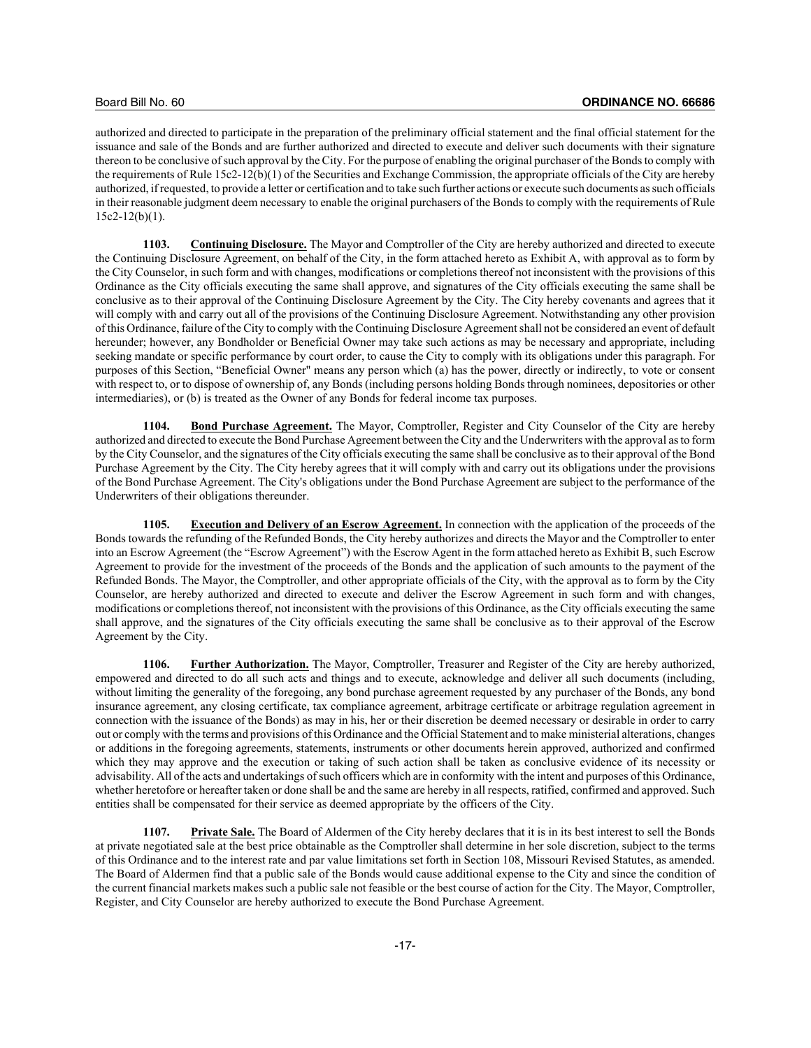authorized and directed to participate in the preparation of the preliminary official statement and the final official statement for the issuance and sale of the Bonds and are further authorized and directed to execute and deliver such documents with their signature thereon to be conclusive of such approval by the City. For the purpose of enabling the original purchaser of the Bonds to comply with the requirements of Rule 15c2-12(b)(1) of the Securities and Exchange Commission, the appropriate officials of the City are hereby authorized, if requested, to provide a letter or certification and to take such further actions or execute such documents as such officials in their reasonable judgment deem necessary to enable the original purchasers of the Bonds to comply with the requirements of Rule  $15c2-12(b)(1)$ .

**1103. Continuing Disclosure.** The Mayor and Comptroller of the City are hereby authorized and directed to execute the Continuing Disclosure Agreement, on behalf of the City, in the form attached hereto as Exhibit A, with approval as to form by the City Counselor, in such form and with changes, modifications or completions thereof not inconsistent with the provisions of this Ordinance as the City officials executing the same shall approve, and signatures of the City officials executing the same shall be conclusive as to their approval of the Continuing Disclosure Agreement by the City. The City hereby covenants and agrees that it will comply with and carry out all of the provisions of the Continuing Disclosure Agreement. Notwithstanding any other provision of this Ordinance, failure of the City to comply with the Continuing Disclosure Agreement shall not be considered an event of default hereunder; however, any Bondholder or Beneficial Owner may take such actions as may be necessary and appropriate, including seeking mandate or specific performance by court order, to cause the City to comply with its obligations under this paragraph. For purposes of this Section, "Beneficial Owner" means any person which (a) has the power, directly or indirectly, to vote or consent with respect to, or to dispose of ownership of, any Bonds (including persons holding Bonds through nominees, depositories or other intermediaries), or (b) is treated as the Owner of any Bonds for federal income tax purposes.

**1104. Bond Purchase Agreement.** The Mayor, Comptroller, Register and City Counselor of the City are hereby authorized and directed to execute the Bond Purchase Agreement between the City and the Underwriters with the approval as to form by the City Counselor, and the signatures of the City officials executing the same shall be conclusive as to their approval of the Bond Purchase Agreement by the City. The City hereby agrees that it will comply with and carry out its obligations under the provisions of the Bond Purchase Agreement. The City's obligations under the Bond Purchase Agreement are subject to the performance of the Underwriters of their obligations thereunder.

**1105. Execution and Delivery of an Escrow Agreement.** In connection with the application of the proceeds of the Bonds towards the refunding of the Refunded Bonds, the City hereby authorizes and directs the Mayor and the Comptroller to enter into an Escrow Agreement (the "Escrow Agreement") with the Escrow Agent in the form attached hereto as Exhibit B, such Escrow Agreement to provide for the investment of the proceeds of the Bonds and the application of such amounts to the payment of the Refunded Bonds. The Mayor, the Comptroller, and other appropriate officials of the City, with the approval as to form by the City Counselor, are hereby authorized and directed to execute and deliver the Escrow Agreement in such form and with changes, modifications or completions thereof, not inconsistent with the provisions of this Ordinance, as the City officials executing the same shall approve, and the signatures of the City officials executing the same shall be conclusive as to their approval of the Escrow Agreement by the City.

**1106. Further Authorization.** The Mayor, Comptroller, Treasurer and Register of the City are hereby authorized, empowered and directed to do all such acts and things and to execute, acknowledge and deliver all such documents (including, without limiting the generality of the foregoing, any bond purchase agreement requested by any purchaser of the Bonds, any bond insurance agreement, any closing certificate, tax compliance agreement, arbitrage certificate or arbitrage regulation agreement in connection with the issuance of the Bonds) as may in his, her or their discretion be deemed necessary or desirable in order to carry out or comply with the terms and provisions of this Ordinance and the Official Statement and to make ministerial alterations, changes or additions in the foregoing agreements, statements, instruments or other documents herein approved, authorized and confirmed which they may approve and the execution or taking of such action shall be taken as conclusive evidence of its necessity or advisability. All of the acts and undertakings of such officers which are in conformity with the intent and purposes of this Ordinance, whether heretofore or hereafter taken or done shall be and the same are hereby in all respects, ratified, confirmed and approved. Such entities shall be compensated for their service as deemed appropriate by the officers of the City.

**1107. Private Sale.** The Board of Aldermen of the City hereby declares that it is in its best interest to sell the Bonds at private negotiated sale at the best price obtainable as the Comptroller shall determine in her sole discretion, subject to the terms of this Ordinance and to the interest rate and par value limitations set forth in Section 108, Missouri Revised Statutes, as amended. The Board of Aldermen find that a public sale of the Bonds would cause additional expense to the City and since the condition of the current financial markets makes such a public sale not feasible or the best course of action for the City. The Mayor, Comptroller, Register, and City Counselor are hereby authorized to execute the Bond Purchase Agreement.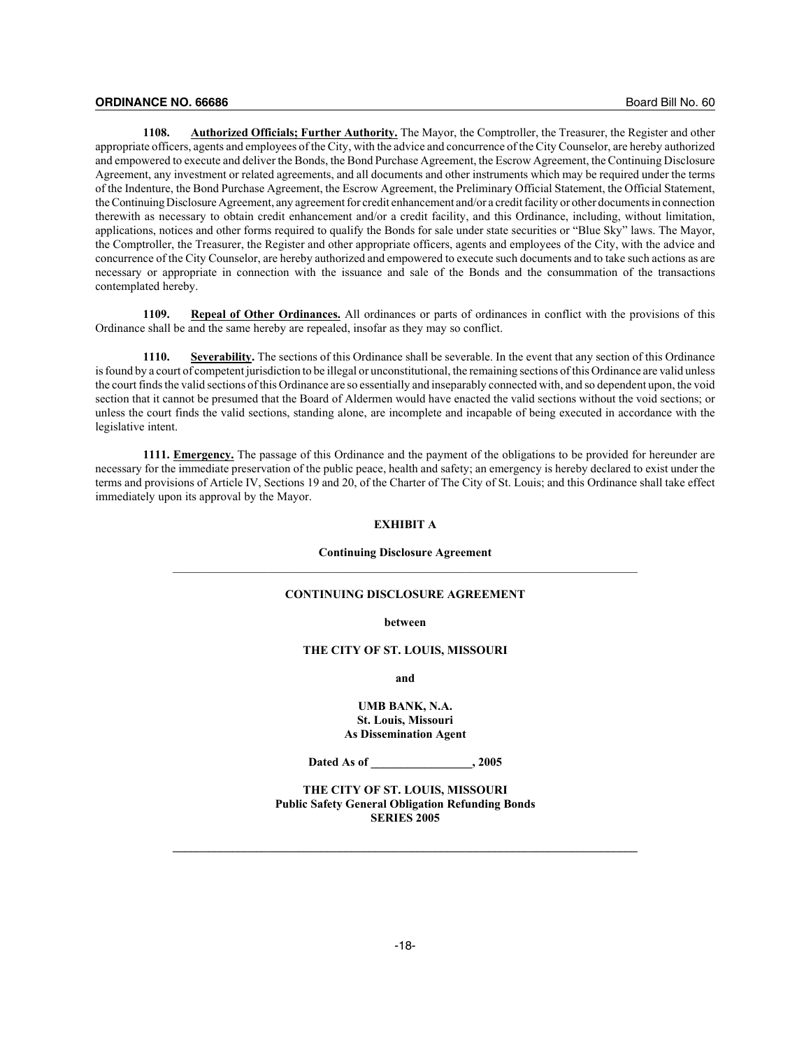**1108. Authorized Officials; Further Authority.** The Mayor, the Comptroller, the Treasurer, the Register and other appropriate officers, agents and employees of the City, with the advice and concurrence of the City Counselor, are hereby authorized and empowered to execute and deliver the Bonds, the Bond Purchase Agreement, the Escrow Agreement, the Continuing Disclosure Agreement, any investment or related agreements, and all documents and other instruments which may be required under the terms of the Indenture, the Bond Purchase Agreement, the Escrow Agreement, the Preliminary Official Statement, the Official Statement, the Continuing Disclosure Agreement, any agreement for credit enhancement and/or a credit facility or other documents in connection therewith as necessary to obtain credit enhancement and/or a credit facility, and this Ordinance, including, without limitation, applications, notices and other forms required to qualify the Bonds for sale under state securities or "Blue Sky" laws. The Mayor, the Comptroller, the Treasurer, the Register and other appropriate officers, agents and employees of the City, with the advice and concurrence of the City Counselor, are hereby authorized and empowered to execute such documents and to take such actions as are necessary or appropriate in connection with the issuance and sale of the Bonds and the consummation of the transactions contemplated hereby.

**1109. Repeal of Other Ordinances.** All ordinances or parts of ordinances in conflict with the provisions of this Ordinance shall be and the same hereby are repealed, insofar as they may so conflict.

**1110. Severability.** The sections of this Ordinance shall be severable. In the event that any section of this Ordinance is found by a court of competent jurisdiction to be illegal or unconstitutional, the remaining sections of this Ordinance are valid unless the court finds the valid sections of this Ordinance are so essentially and inseparably connected with, and so dependent upon, the void section that it cannot be presumed that the Board of Aldermen would have enacted the valid sections without the void sections; or unless the court finds the valid sections, standing alone, are incomplete and incapable of being executed in accordance with the legislative intent.

**1111. Emergency.** The passage of this Ordinance and the payment of the obligations to be provided for hereunder are necessary for the immediate preservation of the public peace, health and safety; an emergency is hereby declared to exist under the terms and provisions of Article IV, Sections 19 and 20, of the Charter of The City of St. Louis; and this Ordinance shall take effect immediately upon its approval by the Mayor.

### **EXHIBIT A**

#### **Continuing Disclosure Agreement**

# **CONTINUING DISCLOSURE AGREEMENT**

#### **between**

#### **THE CITY OF ST. LOUIS, MISSOURI**

**and**

#### **UMB BANK, N.A. St. Louis, Missouri As Dissemination Agent**

**Dated As of \_\_\_\_\_\_\_\_\_\_\_\_\_\_\_\_\_, 2005**

**THE CITY OF ST. LOUIS, MISSOURI Public Safety General Obligation Refunding Bonds SERIES 2005**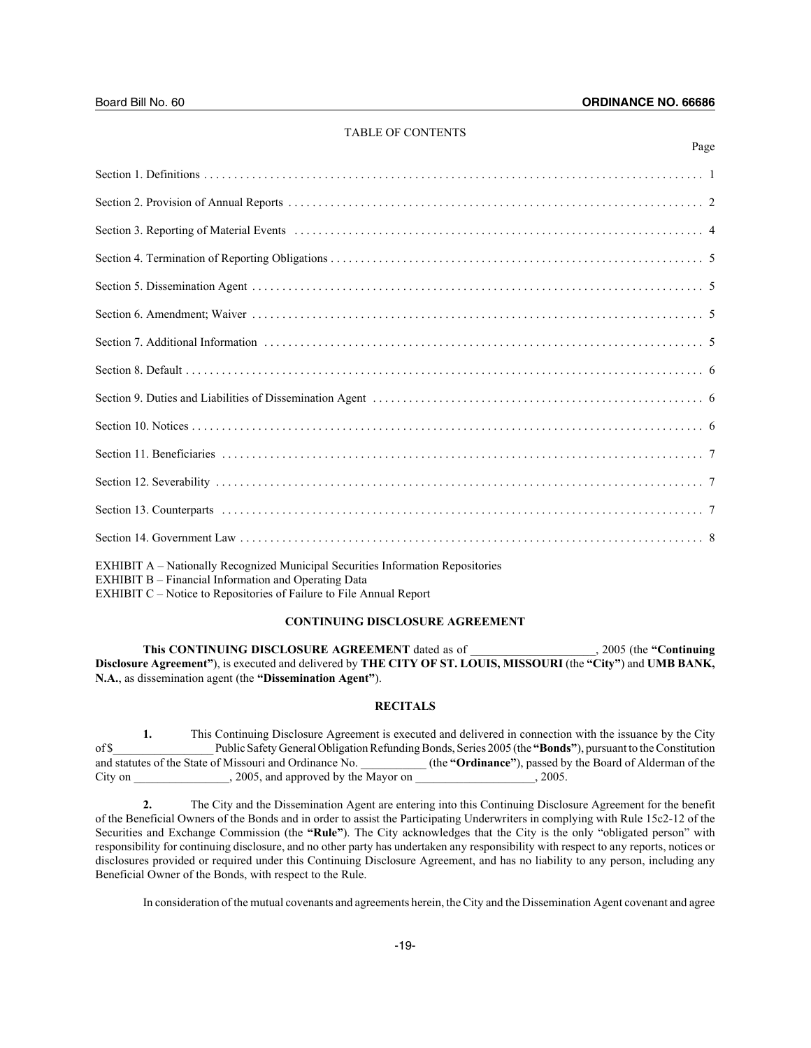Page

### TABLE OF CONTENTS

| EXHIBIT A - Nationally Recognized Municipal Securities Information Repositories<br><b>EXHIBIT B</b> - Financial Information and Operating Data<br>EXHIBIT C - Notice to Repositories of Failure to File Annual Report |
|-----------------------------------------------------------------------------------------------------------------------------------------------------------------------------------------------------------------------|

#### **CONTINUING DISCLOSURE AGREEMENT**

**This CONTINUING DISCLOSURE AGREEMENT** dated as of \_\_\_\_\_\_\_\_\_\_\_\_\_\_\_\_\_\_\_\_\_, 2005 (the **"Continuing Disclosure Agreement"**), is executed and delivered by **THE CITY OF ST. LOUIS, MISSOURI** (the **"City"**) and **UMB BANK, N.A.**, as dissemination agent (the **"Dissemination Agent"**).

# **RECITALS**

**1.** This Continuing Disclosure Agreement is executed and delivered in connection with the issuance by the City of \$\_\_\_\_\_\_\_\_\_\_\_\_\_\_\_\_\_ Public Safety General Obligation Refunding Bonds, Series 2005 (the **"Bonds"**), pursuant to the Constitution and statutes of the State of Missouri and Ordinance No. \_\_\_\_\_\_\_\_\_\_\_ (the **"Ordinance"**), passed by the Board of Alderman of the City on \_\_\_\_\_\_\_\_\_\_\_\_\_\_\_\_, 2005, and approved by the Mayor on \_\_\_\_\_\_\_\_\_\_\_\_\_\_\_\_\_\_\_\_, 2005.

**2.** The City and the Dissemination Agent are entering into this Continuing Disclosure Agreement for the benefit of the Beneficial Owners of the Bonds and in order to assist the Participating Underwriters in complying with Rule 15c2-12 of the Securities and Exchange Commission (the **"Rule"**). The City acknowledges that the City is the only "obligated person" with responsibility for continuing disclosure, and no other party has undertaken any responsibility with respect to any reports, notices or disclosures provided or required under this Continuing Disclosure Agreement, and has no liability to any person, including any Beneficial Owner of the Bonds, with respect to the Rule.

In consideration of the mutual covenants and agreements herein, the City and the Dissemination Agent covenant and agree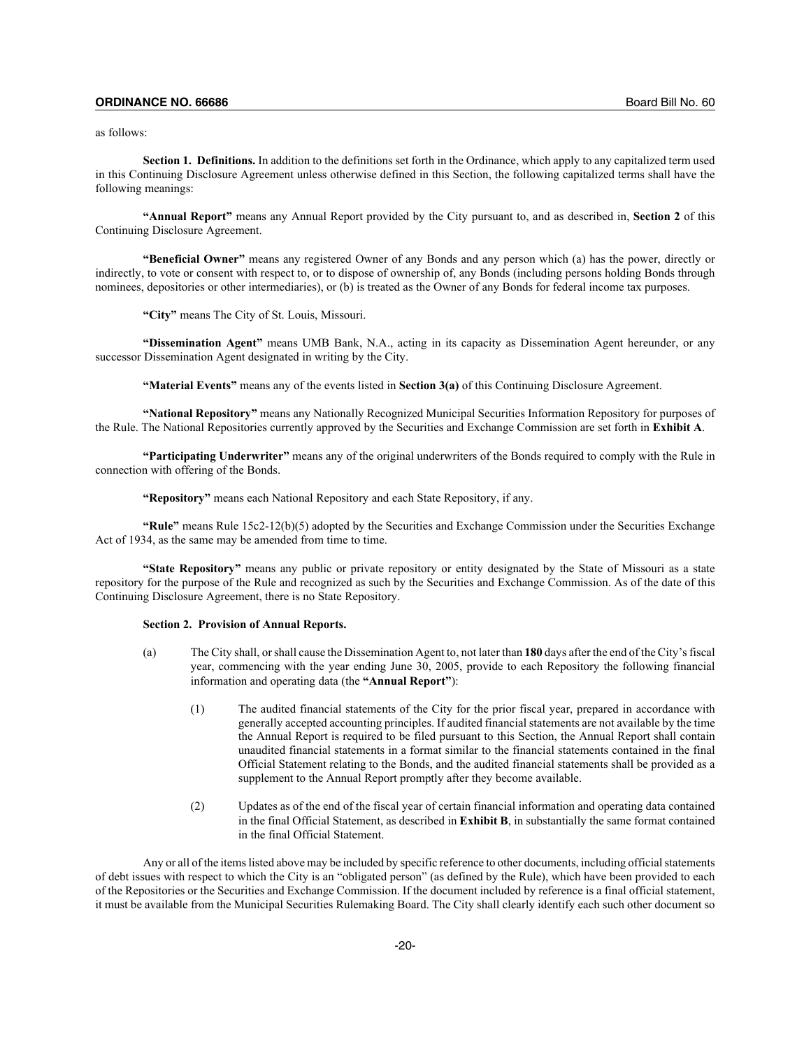as follows:

**Section 1. Definitions.** In addition to the definitions set forth in the Ordinance, which apply to any capitalized term used in this Continuing Disclosure Agreement unless otherwise defined in this Section, the following capitalized terms shall have the following meanings:

**"Annual Report"** means any Annual Report provided by the City pursuant to, and as described in, **Section 2** of this Continuing Disclosure Agreement.

**"Beneficial Owner"** means any registered Owner of any Bonds and any person which (a) has the power, directly or indirectly, to vote or consent with respect to, or to dispose of ownership of, any Bonds (including persons holding Bonds through nominees, depositories or other intermediaries), or (b) is treated as the Owner of any Bonds for federal income tax purposes.

**"City"** means The City of St. Louis, Missouri.

**"Dissemination Agent"** means UMB Bank, N.A., acting in its capacity as Dissemination Agent hereunder, or any successor Dissemination Agent designated in writing by the City.

**"Material Events"** means any of the events listed in **Section 3(a)** of this Continuing Disclosure Agreement.

**"National Repository"** means any Nationally Recognized Municipal Securities Information Repository for purposes of the Rule. The National Repositories currently approved by the Securities and Exchange Commission are set forth in **Exhibit A**.

**"Participating Underwriter"** means any of the original underwriters of the Bonds required to comply with the Rule in connection with offering of the Bonds.

**"Repository"** means each National Repository and each State Repository, if any.

**"Rule"** means Rule 15c2-12(b)(5) adopted by the Securities and Exchange Commission under the Securities Exchange Act of 1934, as the same may be amended from time to time.

**"State Repository"** means any public or private repository or entity designated by the State of Missouri as a state repository for the purpose of the Rule and recognized as such by the Securities and Exchange Commission. As of the date of this Continuing Disclosure Agreement, there is no State Repository.

#### **Section 2. Provision of Annual Reports.**

- (a) The City shall, or shall cause the Dissemination Agent to, not later than **180** days after the end of the City's fiscal year, commencing with the year ending June 30, 2005, provide to each Repository the following financial information and operating data (the **"Annual Report"**):
	- (1) The audited financial statements of the City for the prior fiscal year, prepared in accordance with generally accepted accounting principles. If audited financial statements are not available by the time the Annual Report is required to be filed pursuant to this Section, the Annual Report shall contain unaudited financial statements in a format similar to the financial statements contained in the final Official Statement relating to the Bonds, and the audited financial statements shall be provided as a supplement to the Annual Report promptly after they become available.
	- (2) Updates as of the end of the fiscal year of certain financial information and operating data contained in the final Official Statement, as described in **Exhibit B**, in substantially the same format contained in the final Official Statement.

Any or all of the items listed above may be included by specific reference to other documents, including official statements of debt issues with respect to which the City is an "obligated person" (as defined by the Rule), which have been provided to each of the Repositories or the Securities and Exchange Commission. If the document included by reference is a final official statement, it must be available from the Municipal Securities Rulemaking Board. The City shall clearly identify each such other document so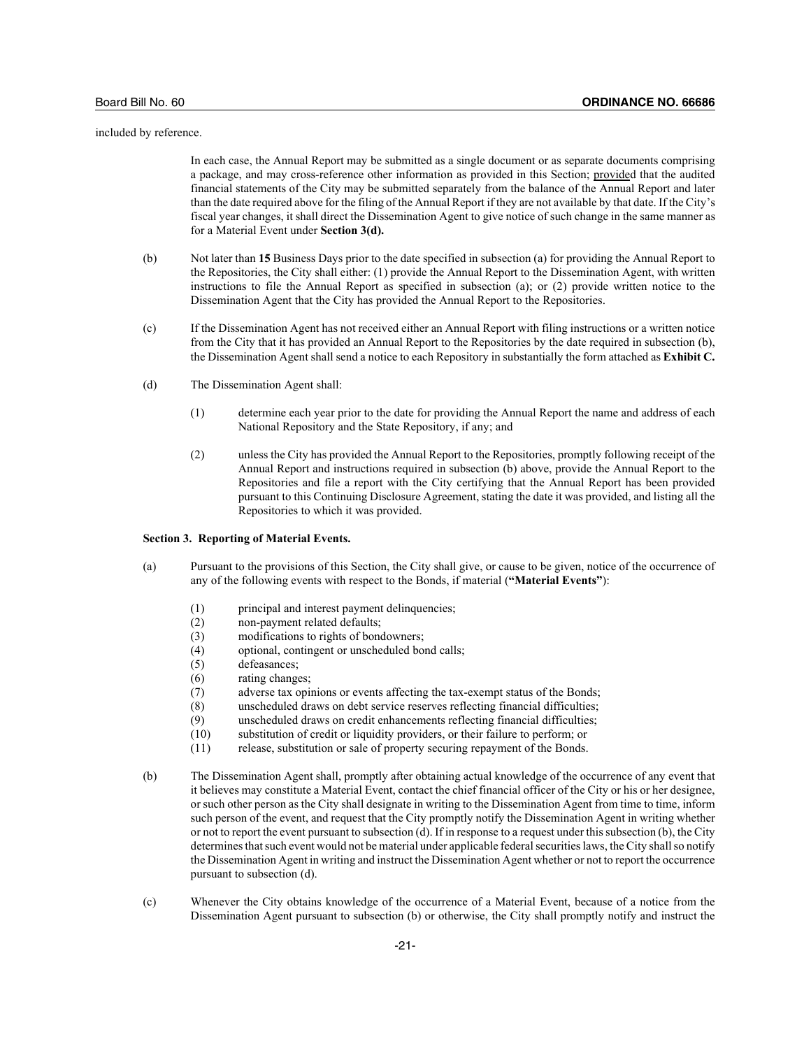included by reference.

In each case, the Annual Report may be submitted as a single document or as separate documents comprising a package, and may cross-reference other information as provided in this Section; provided that the audited financial statements of the City may be submitted separately from the balance of the Annual Report and later than the date required above for the filing of the Annual Report if they are not available by that date. If the City's fiscal year changes, it shall direct the Dissemination Agent to give notice of such change in the same manner as for a Material Event under **Section 3(d).**

- (b) Not later than **15** Business Days prior to the date specified in subsection (a) for providing the Annual Report to the Repositories, the City shall either: (1) provide the Annual Report to the Dissemination Agent, with written instructions to file the Annual Report as specified in subsection (a); or (2) provide written notice to the Dissemination Agent that the City has provided the Annual Report to the Repositories.
- (c) If the Dissemination Agent has not received either an Annual Report with filing instructions or a written notice from the City that it has provided an Annual Report to the Repositories by the date required in subsection (b), the Dissemination Agent shall send a notice to each Repository in substantially the form attached as **Exhibit C.**
- (d) The Dissemination Agent shall:
	- (1) determine each year prior to the date for providing the Annual Report the name and address of each National Repository and the State Repository, if any; and
	- (2) unless the City has provided the Annual Report to the Repositories, promptly following receipt of the Annual Report and instructions required in subsection (b) above, provide the Annual Report to the Repositories and file a report with the City certifying that the Annual Report has been provided pursuant to this Continuing Disclosure Agreement, stating the date it was provided, and listing all the Repositories to which it was provided.

#### **Section 3. Reporting of Material Events.**

- (a) Pursuant to the provisions of this Section, the City shall give, or cause to be given, notice of the occurrence of any of the following events with respect to the Bonds, if material (**"Material Events"**):
	- (1) principal and interest payment delinquencies;
	- (2) non-payment related defaults;
	- (3) modifications to rights of bondowners;
	- (4) optional, contingent or unscheduled bond calls;
	- (5) defeasances;
	- (6) rating changes;
	- (7) adverse tax opinions or events affecting the tax-exempt status of the Bonds;
	- (8) unscheduled draws on debt service reserves reflecting financial difficulties;
	- (9) unscheduled draws on credit enhancements reflecting financial difficulties;
	- (10) substitution of credit or liquidity providers, or their failure to perform; or
	- (11) release, substitution or sale of property securing repayment of the Bonds.
- (b) The Dissemination Agent shall, promptly after obtaining actual knowledge of the occurrence of any event that it believes may constitute a Material Event, contact the chief financial officer of the City or his or her designee, or such other person as the City shall designate in writing to the Dissemination Agent from time to time, inform such person of the event, and request that the City promptly notify the Dissemination Agent in writing whether or not to report the event pursuant to subsection (d). If in response to a request under this subsection (b), the City determines that such event would not be material under applicable federal securities laws, the City shall so notify the Dissemination Agent in writing and instruct the Dissemination Agent whether or not to report the occurrence pursuant to subsection (d).
- (c) Whenever the City obtains knowledge of the occurrence of a Material Event, because of a notice from the Dissemination Agent pursuant to subsection (b) or otherwise, the City shall promptly notify and instruct the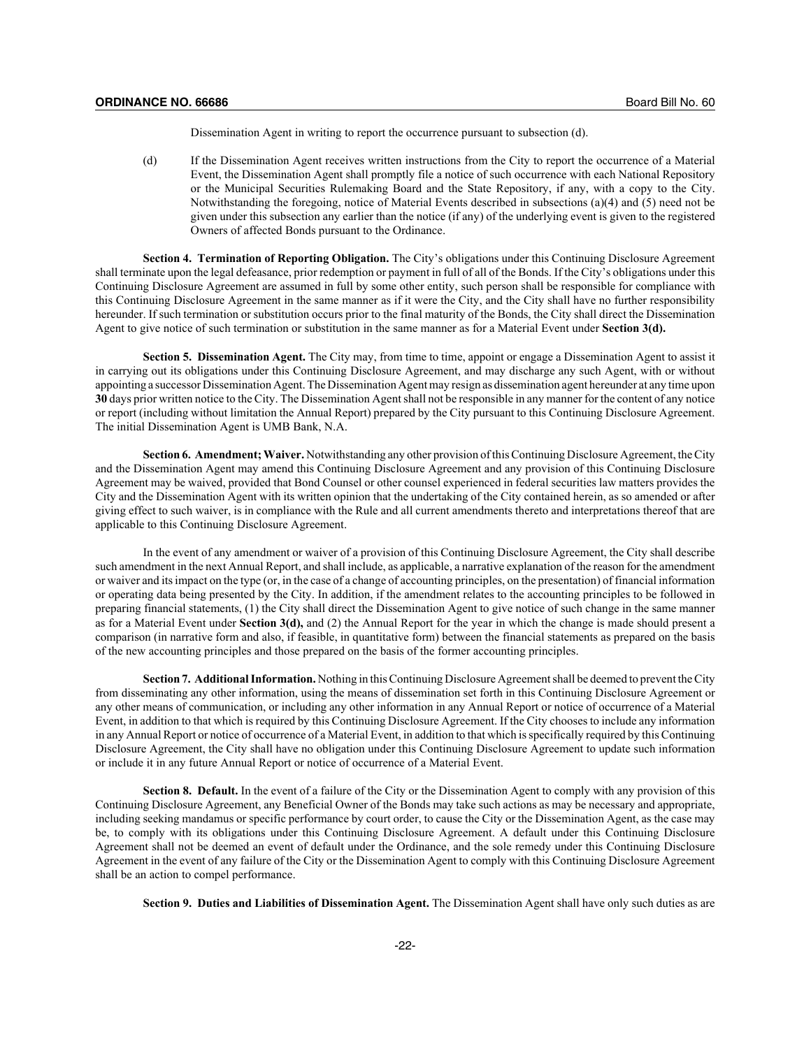Dissemination Agent in writing to report the occurrence pursuant to subsection (d).

(d) If the Dissemination Agent receives written instructions from the City to report the occurrence of a Material Event, the Dissemination Agent shall promptly file a notice of such occurrence with each National Repository or the Municipal Securities Rulemaking Board and the State Repository, if any, with a copy to the City. Notwithstanding the foregoing, notice of Material Events described in subsections (a)(4) and (5) need not be given under this subsection any earlier than the notice (if any) of the underlying event is given to the registered Owners of affected Bonds pursuant to the Ordinance.

**Section 4. Termination of Reporting Obligation.** The City's obligations under this Continuing Disclosure Agreement shall terminate upon the legal defeasance, prior redemption or payment in full of all of the Bonds. If the City's obligations under this Continuing Disclosure Agreement are assumed in full by some other entity, such person shall be responsible for compliance with this Continuing Disclosure Agreement in the same manner as if it were the City, and the City shall have no further responsibility hereunder. If such termination or substitution occurs prior to the final maturity of the Bonds, the City shall direct the Dissemination Agent to give notice of such termination or substitution in the same manner as for a Material Event under **Section 3(d).**

**Section 5. Dissemination Agent.** The City may, from time to time, appoint or engage a Dissemination Agent to assist it in carrying out its obligations under this Continuing Disclosure Agreement, and may discharge any such Agent, with or without appointing a successor Dissemination Agent. The Dissemination Agent may resign as dissemination agent hereunder at any time upon **30** days prior written notice to the City. The Dissemination Agent shall not be responsible in any manner for the content of any notice or report (including without limitation the Annual Report) prepared by the City pursuant to this Continuing Disclosure Agreement. The initial Dissemination Agent is UMB Bank, N.A.

**Section 6. Amendment; Waiver.** Notwithstanding any other provision of this Continuing Disclosure Agreement, the City and the Dissemination Agent may amend this Continuing Disclosure Agreement and any provision of this Continuing Disclosure Agreement may be waived, provided that Bond Counsel or other counsel experienced in federal securities law matters provides the City and the Dissemination Agent with its written opinion that the undertaking of the City contained herein, as so amended or after giving effect to such waiver, is in compliance with the Rule and all current amendments thereto and interpretations thereof that are applicable to this Continuing Disclosure Agreement.

In the event of any amendment or waiver of a provision of this Continuing Disclosure Agreement, the City shall describe such amendment in the next Annual Report, and shall include, as applicable, a narrative explanation of the reason for the amendment or waiver and its impact on the type (or, in the case of a change of accounting principles, on the presentation) of financial information or operating data being presented by the City. In addition, if the amendment relates to the accounting principles to be followed in preparing financial statements, (1) the City shall direct the Dissemination Agent to give notice of such change in the same manner as for a Material Event under **Section 3(d),** and (2) the Annual Report for the year in which the change is made should present a comparison (in narrative form and also, if feasible, in quantitative form) between the financial statements as prepared on the basis of the new accounting principles and those prepared on the basis of the former accounting principles.

**Section 7. Additional Information.** Nothing in this Continuing Disclosure Agreement shall be deemed to prevent the City from disseminating any other information, using the means of dissemination set forth in this Continuing Disclosure Agreement or any other means of communication, or including any other information in any Annual Report or notice of occurrence of a Material Event, in addition to that which is required by this Continuing Disclosure Agreement. If the City chooses to include any information in any Annual Report or notice of occurrence of a Material Event, in addition to that which is specifically required by this Continuing Disclosure Agreement, the City shall have no obligation under this Continuing Disclosure Agreement to update such information or include it in any future Annual Report or notice of occurrence of a Material Event.

**Section 8. Default.** In the event of a failure of the City or the Dissemination Agent to comply with any provision of this Continuing Disclosure Agreement, any Beneficial Owner of the Bonds may take such actions as may be necessary and appropriate, including seeking mandamus or specific performance by court order, to cause the City or the Dissemination Agent, as the case may be, to comply with its obligations under this Continuing Disclosure Agreement. A default under this Continuing Disclosure Agreement shall not be deemed an event of default under the Ordinance, and the sole remedy under this Continuing Disclosure Agreement in the event of any failure of the City or the Dissemination Agent to comply with this Continuing Disclosure Agreement shall be an action to compel performance.

**Section 9. Duties and Liabilities of Dissemination Agent.** The Dissemination Agent shall have only such duties as are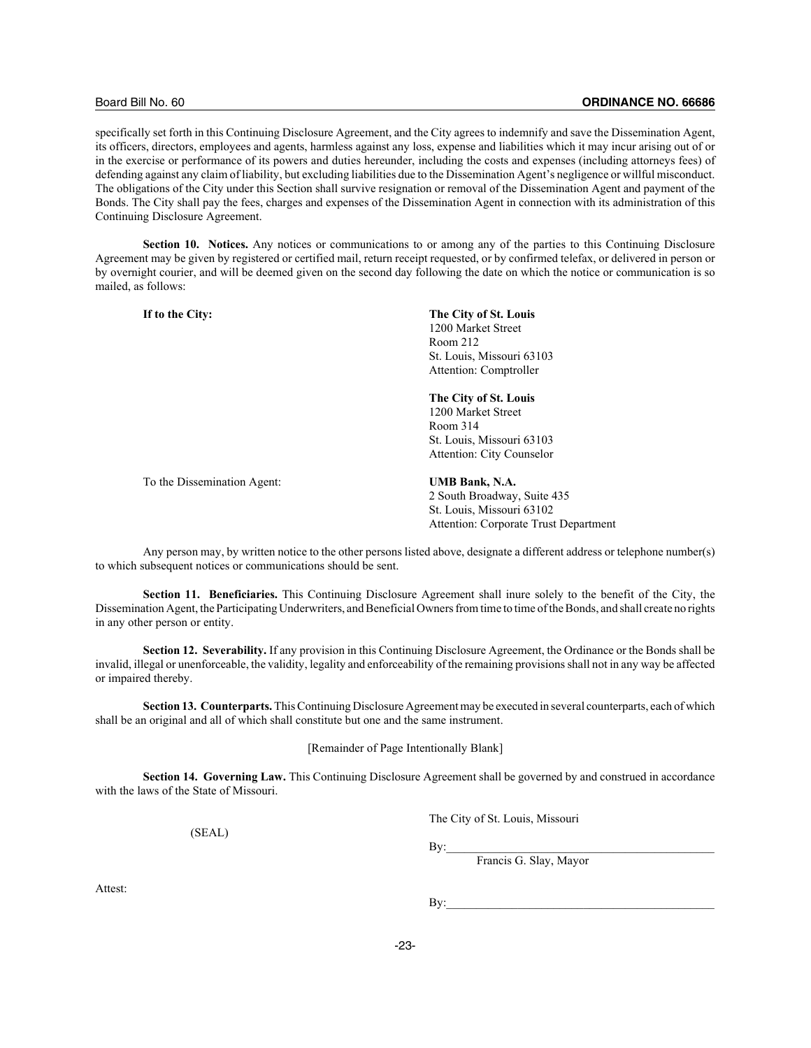#### Board Bill No. 60 **ORDINANCE NO. 66686**

specifically set forth in this Continuing Disclosure Agreement, and the City agrees to indemnify and save the Dissemination Agent, its officers, directors, employees and agents, harmless against any loss, expense and liabilities which it may incur arising out of or in the exercise or performance of its powers and duties hereunder, including the costs and expenses (including attorneys fees) of defending against any claim of liability, but excluding liabilities due to the Dissemination Agent's negligence or willful misconduct. The obligations of the City under this Section shall survive resignation or removal of the Dissemination Agent and payment of the Bonds. The City shall pay the fees, charges and expenses of the Dissemination Agent in connection with its administration of this Continuing Disclosure Agreement.

**Section 10. Notices.** Any notices or communications to or among any of the parties to this Continuing Disclosure Agreement may be given by registered or certified mail, return receipt requested, or by confirmed telefax, or delivered in person or by overnight courier, and will be deemed given on the second day following the date on which the notice or communication is so mailed, as follows:

**If to the City: The City of St. Louis** 1200 Market Street Room 212 St. Louis, Missouri 63103 Attention: Comptroller

# **The City of St. Louis**

1200 Market Street Room 314 St. Louis, Missouri 63103 Attention: City Counselor

To the Dissemination Agent: **UMB Bank, N.A.**

2 South Broadway, Suite 435 St. Louis, Missouri 63102 Attention: Corporate Trust Department

Any person may, by written notice to the other persons listed above, designate a different address or telephone number(s) to which subsequent notices or communications should be sent.

**Section 11. Beneficiaries.** This Continuing Disclosure Agreement shall inure solely to the benefit of the City, the Dissemination Agent, the Participating Underwriters, and Beneficial Owners from time to time of the Bonds, and shall create no rights in any other person or entity.

**Section 12. Severability.** If any provision in this Continuing Disclosure Agreement, the Ordinance or the Bonds shall be invalid, illegal or unenforceable, the validity, legality and enforceability of the remaining provisions shall not in any way be affected or impaired thereby.

**Section 13. Counterparts.** This Continuing Disclosure Agreement may be executed in several counterparts, each of which shall be an original and all of which shall constitute but one and the same instrument.

[Remainder of Page Intentionally Blank]

**Section 14. Governing Law.** This Continuing Disclosure Agreement shall be governed by and construed in accordance with the laws of the State of Missouri.

(SEAL)

The City of St. Louis, Missouri

 $\rm\,By:$ 

Francis G. Slay, Mayor

Attest:

 $\mathbf{By:}$ 

-23-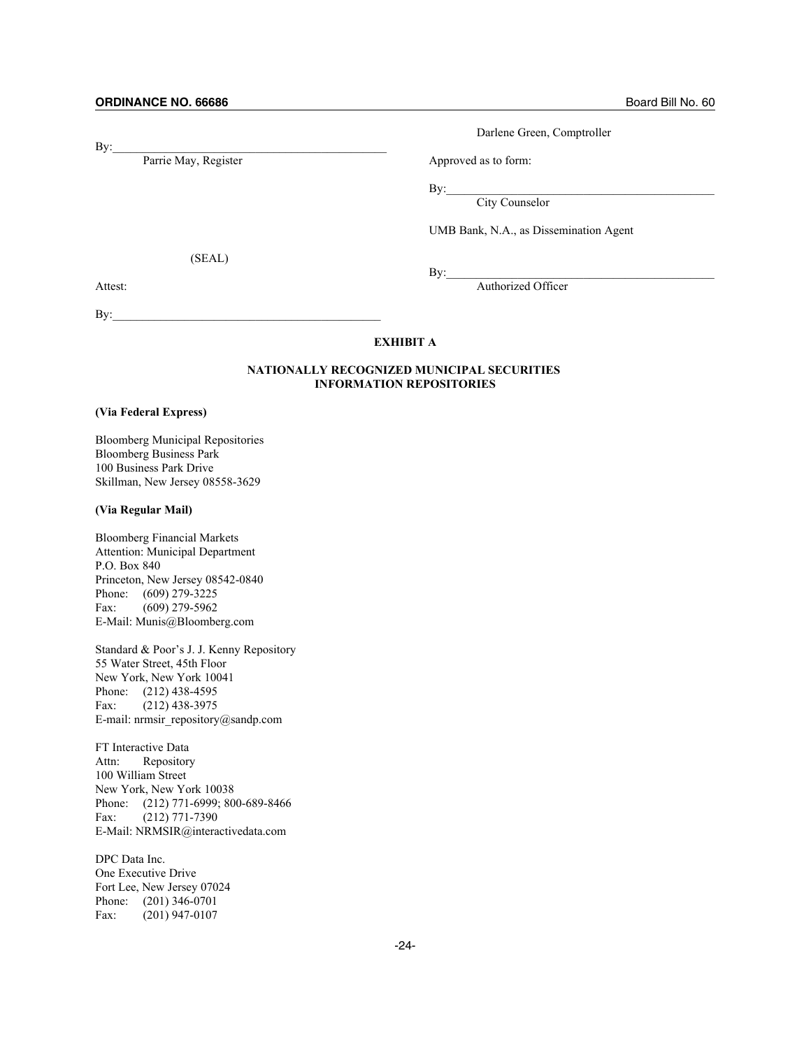$\mathbf{By:}$ 

Parrie May, Register Approved as to form:

Darlene Green, Comptroller

 $\mathbf{By:}$ 

City Counselor

UMB Bank, N.A., as Dissemination Agent

(SEAL)

 $\mathbf{By:}$ 

 $\mathbf{By:}$ 

Attest: Authorized Officer

# **EXHIBIT A**

# **NATIONALLY RECOGNIZED MUNICIPAL SECURITIES INFORMATION REPOSITORIES**

#### **(Via Federal Express)**

Bloomberg Municipal Repositories Bloomberg Business Park 100 Business Park Drive Skillman, New Jersey 08558-3629

## **(Via Regular Mail)**

Bloomberg Financial Markets Attention: Municipal Department P.O. Box 840 Princeton, New Jersey 08542-0840 Phone: (609) 279-3225 Fax: (609) 279-5962 E-Mail: Munis@Bloomberg.com

Standard & Poor's J. J. Kenny Repository 55 Water Street, 45th Floor New York, New York 10041 Phone: (212) 438-4595 Fax: (212) 438-3975 E-mail: nrmsir\_repository@sandp.com

FT Interactive Data Attn: Repository 100 William Street New York, New York 10038 Phone: (212) 771-6999; 800-689-8466 Fax: (212) 771-7390 E-Mail: NRMSIR@interactivedata.com

DPC Data Inc. One Executive Drive Fort Lee, New Jersey 07024 Phone: (201) 346-0701 Fax: (201) 947-0107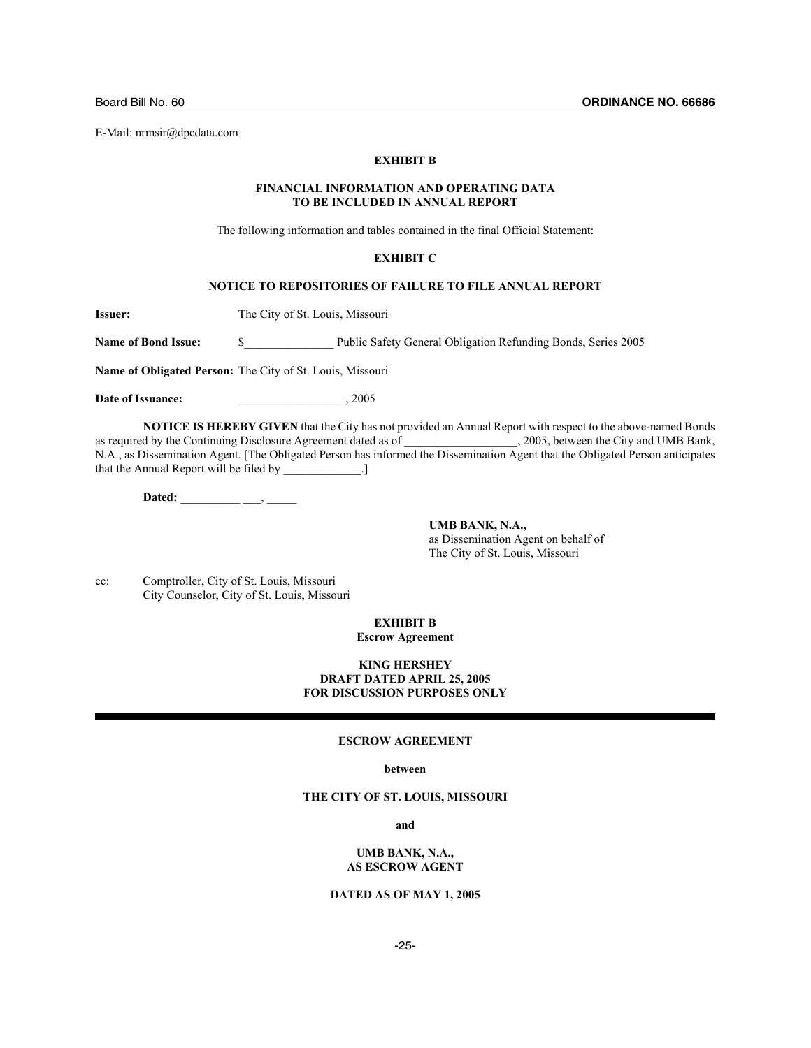#### **EXHIBIT B**

#### **FINANCIAL INFORMATION AND OPERATING DATA TO BE INCLUDED IN ANNUAL REPORT**

The following information and tables contained in the final Official Statement:

#### **EXHIBIT C**

#### **NOTICE TO REPOSITORIES OF FAILURE TO FILE ANNUAL REPORT**

**Issuer:** The City of St. Louis, Missouri

Name of Bond Issue:  $\qquad$  \$ Public Safety General Obligation Refunding Bonds, Series 2005

**Name of Obligated Person:** The City of St. Louis, Missouri

**Date of Issuance:** 2005

**NOTICE IS HEREBY GIVEN** that the City has not provided an Annual Report with respect to the above-named Bonds as required by the Continuing Disclosure Agreement dated as of  $\qquad \qquad$ , 2005, between the City and UMB Bank, N.A., as Dissemination Agent. [The Obligated Person has informed the Dissemination Agent that the Obligated Person anticipates that the Annual Report will be filed by \_\_\_\_\_\_\_\_\_\_\_.]

**Dated:** \_\_\_\_\_\_\_\_\_\_ \_\_\_, \_\_\_\_\_

**UMB BANK, N.A.,** as Dissemination Agent on behalf of The City of St. Louis, Missouri

cc: Comptroller, City of St. Louis, Missouri City Counselor, City of St. Louis, Missouri

#### **EXHIBIT B Escrow Agreement**

## **KING HERSHEY DRAFT DATED APRIL 25, 2005 FOR DISCUSSION PURPOSES ONLY**

#### **ESCROW AGREEMENT**

#### **between**

## **THE CITY OF ST. LOUIS, MISSOURI**

**and**

#### **UMB BANK, N.A., AS ESCROW AGENT**

# **DATED AS OF MAY 1, 2005**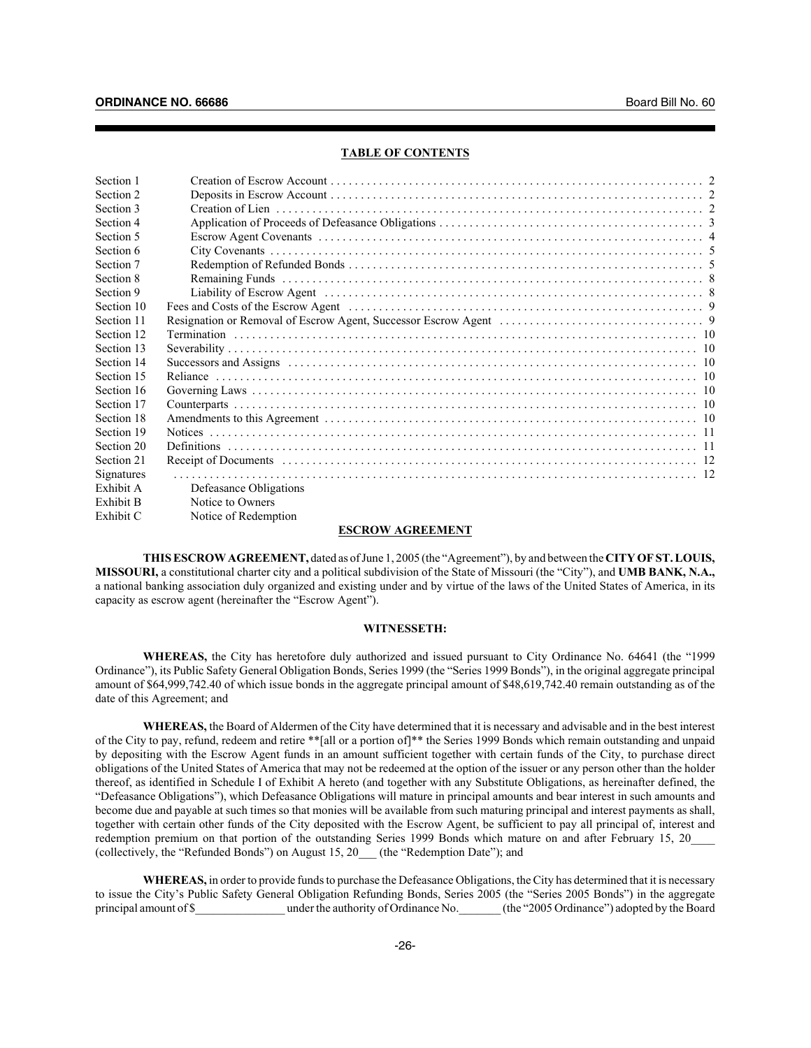#### **TABLE OF CONTENTS**

| Section 1  |                          |  |
|------------|--------------------------|--|
| Section 2  |                          |  |
| Section 3  | Creation of Lien         |  |
| Section 4  |                          |  |
| Section 5  |                          |  |
| Section 6  |                          |  |
| Section 7  |                          |  |
| Section 8  |                          |  |
| Section 9  |                          |  |
| Section 10 |                          |  |
| Section 11 |                          |  |
| Section 12 |                          |  |
| Section 13 |                          |  |
| Section 14 |                          |  |
| Section 15 |                          |  |
| Section 16 |                          |  |
| Section 17 |                          |  |
| Section 18 |                          |  |
| Section 19 |                          |  |
| Section 20 |                          |  |
| Section 21 |                          |  |
| Signatures |                          |  |
| Exhibit A  | Defeasance Obligations   |  |
| Exhibit B  | Notice to Owners         |  |
| Exhibit C  | Notice of Redemption     |  |
|            | <b>ECCDOUL LCDEEMENT</b> |  |

#### **ESCROW AGREEMENT**

**THIS ESCROW AGREEMENT,** dated as of June 1, 2005 (the "Agreement"), by and between the **CITY OF ST. LOUIS, MISSOURI,** a constitutional charter city and a political subdivision of the State of Missouri (the "City"), and **UMB BANK, N.A.,** a national banking association duly organized and existing under and by virtue of the laws of the United States of America, in its capacity as escrow agent (hereinafter the "Escrow Agent").

#### **WITNESSETH:**

**WHEREAS,** the City has heretofore duly authorized and issued pursuant to City Ordinance No. 64641 (the "1999 Ordinance"), its Public Safety General Obligation Bonds, Series 1999 (the "Series 1999 Bonds"), in the original aggregate principal amount of \$64,999,742.40 of which issue bonds in the aggregate principal amount of \$48,619,742.40 remain outstanding as of the date of this Agreement; and

**WHEREAS,** the Board of Aldermen of the City have determined that it is necessary and advisable and in the best interest of the City to pay, refund, redeem and retire \*\*[all or a portion of]\*\* the Series 1999 Bonds which remain outstanding and unpaid by depositing with the Escrow Agent funds in an amount sufficient together with certain funds of the City, to purchase direct obligations of the United States of America that may not be redeemed at the option of the issuer or any person other than the holder thereof, as identified in Schedule I of Exhibit A hereto (and together with any Substitute Obligations, as hereinafter defined, the "Defeasance Obligations"), which Defeasance Obligations will mature in principal amounts and bear interest in such amounts and become due and payable at such times so that monies will be available from such maturing principal and interest payments as shall, together with certain other funds of the City deposited with the Escrow Agent, be sufficient to pay all principal of, interest and redemption premium on that portion of the outstanding Series 1999 Bonds which mature on and after February 15, 20 (collectively, the "Refunded Bonds") on August 15, 20\_\_\_ (the "Redemption Date"); and

**WHEREAS,** in order to provide funds to purchase the Defeasance Obligations, the City has determined that it is necessary to issue the City's Public Safety General Obligation Refunding Bonds, Series 2005 (the "Series 2005 Bonds") in the aggregate principal amount of \$\_\_\_\_\_\_\_\_\_\_\_\_\_\_\_\_ under the authority of Ordinance No.\_\_\_\_\_\_\_ (the "2005 Ordinance") adopted by the Board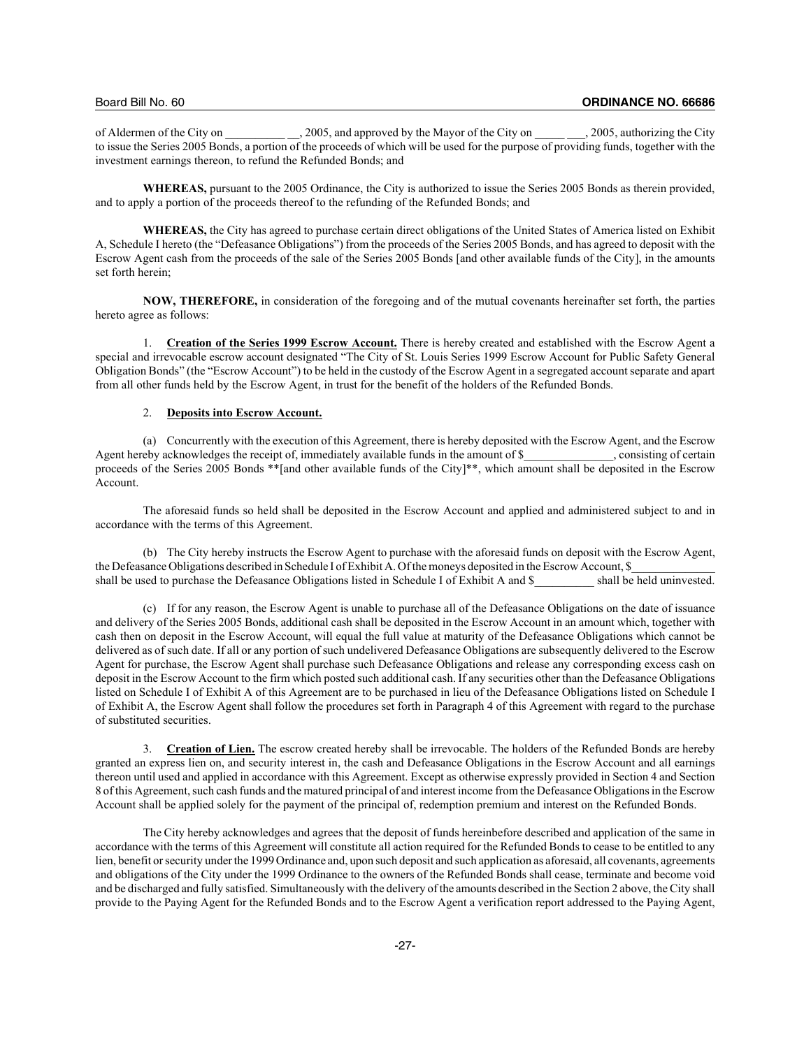of Aldermen of the City on  $\qquad$ , 2005, and approved by the Mayor of the City on  $\qquad$ , 2005, authorizing the City to issue the Series 2005 Bonds, a portion of the proceeds of which will be used for the purpose of providing funds, together with the investment earnings thereon, to refund the Refunded Bonds; and

**WHEREAS,** pursuant to the 2005 Ordinance, the City is authorized to issue the Series 2005 Bonds as therein provided, and to apply a portion of the proceeds thereof to the refunding of the Refunded Bonds; and

**WHEREAS,** the City has agreed to purchase certain direct obligations of the United States of America listed on Exhibit A, Schedule I hereto (the "Defeasance Obligations") from the proceeds of the Series 2005 Bonds, and has agreed to deposit with the Escrow Agent cash from the proceeds of the sale of the Series 2005 Bonds [and other available funds of the City], in the amounts set forth herein;

**NOW, THEREFORE,** in consideration of the foregoing and of the mutual covenants hereinafter set forth, the parties hereto agree as follows:

1. **Creation of the Series 1999 Escrow Account.** There is hereby created and established with the Escrow Agent a special and irrevocable escrow account designated "The City of St. Louis Series 1999 Escrow Account for Public Safety General Obligation Bonds" (the "Escrow Account") to be held in the custody of the Escrow Agent in a segregated account separate and apart from all other funds held by the Escrow Agent, in trust for the benefit of the holders of the Refunded Bonds.

## 2. **Deposits into Escrow Account.**

(a) Concurrently with the execution of this Agreement, there is hereby deposited with the Escrow Agent, and the Escrow eby acknowledges the receipt of, immediately available funds in the amount of \$ consisting of certain Agent hereby acknowledges the receipt of, immediately available funds in the amount of  $\$$ proceeds of the Series 2005 Bonds \*\*[and other available funds of the City]\*\*, which amount shall be deposited in the Escrow Account.

The aforesaid funds so held shall be deposited in the Escrow Account and applied and administered subject to and in accordance with the terms of this Agreement.

(b) The City hereby instructs the Escrow Agent to purchase with the aforesaid funds on deposit with the Escrow Agent, the Defeasance Obligations described in Schedule I of Exhibit A. Of the moneys deposited in the Escrow Account, \$ shall be used to purchase the Defeasance Obligations listed in Schedule I of Exhibit A and \$\_\_\_\_\_\_ shall be held uninvested.

(c) If for any reason, the Escrow Agent is unable to purchase all of the Defeasance Obligations on the date of issuance and delivery of the Series 2005 Bonds, additional cash shall be deposited in the Escrow Account in an amount which, together with cash then on deposit in the Escrow Account, will equal the full value at maturity of the Defeasance Obligations which cannot be delivered as of such date. If all or any portion of such undelivered Defeasance Obligations are subsequently delivered to the Escrow Agent for purchase, the Escrow Agent shall purchase such Defeasance Obligations and release any corresponding excess cash on deposit in the Escrow Account to the firm which posted such additional cash. If any securities other than the Defeasance Obligations listed on Schedule I of Exhibit A of this Agreement are to be purchased in lieu of the Defeasance Obligations listed on Schedule I of Exhibit A, the Escrow Agent shall follow the procedures set forth in Paragraph 4 of this Agreement with regard to the purchase of substituted securities.

3. **Creation of Lien.** The escrow created hereby shall be irrevocable. The holders of the Refunded Bonds are hereby granted an express lien on, and security interest in, the cash and Defeasance Obligations in the Escrow Account and all earnings thereon until used and applied in accordance with this Agreement. Except as otherwise expressly provided in Section 4 and Section 8 of this Agreement, such cash funds and the matured principal of and interest income from the Defeasance Obligations in the Escrow Account shall be applied solely for the payment of the principal of, redemption premium and interest on the Refunded Bonds.

The City hereby acknowledges and agrees that the deposit of funds hereinbefore described and application of the same in accordance with the terms of this Agreement will constitute all action required for the Refunded Bonds to cease to be entitled to any lien, benefit or security under the 1999 Ordinance and, upon such deposit and such application as aforesaid, all covenants, agreements and obligations of the City under the 1999 Ordinance to the owners of the Refunded Bonds shall cease, terminate and become void and be discharged and fully satisfied. Simultaneously with the delivery of the amounts described in the Section 2 above, the City shall provide to the Paying Agent for the Refunded Bonds and to the Escrow Agent a verification report addressed to the Paying Agent,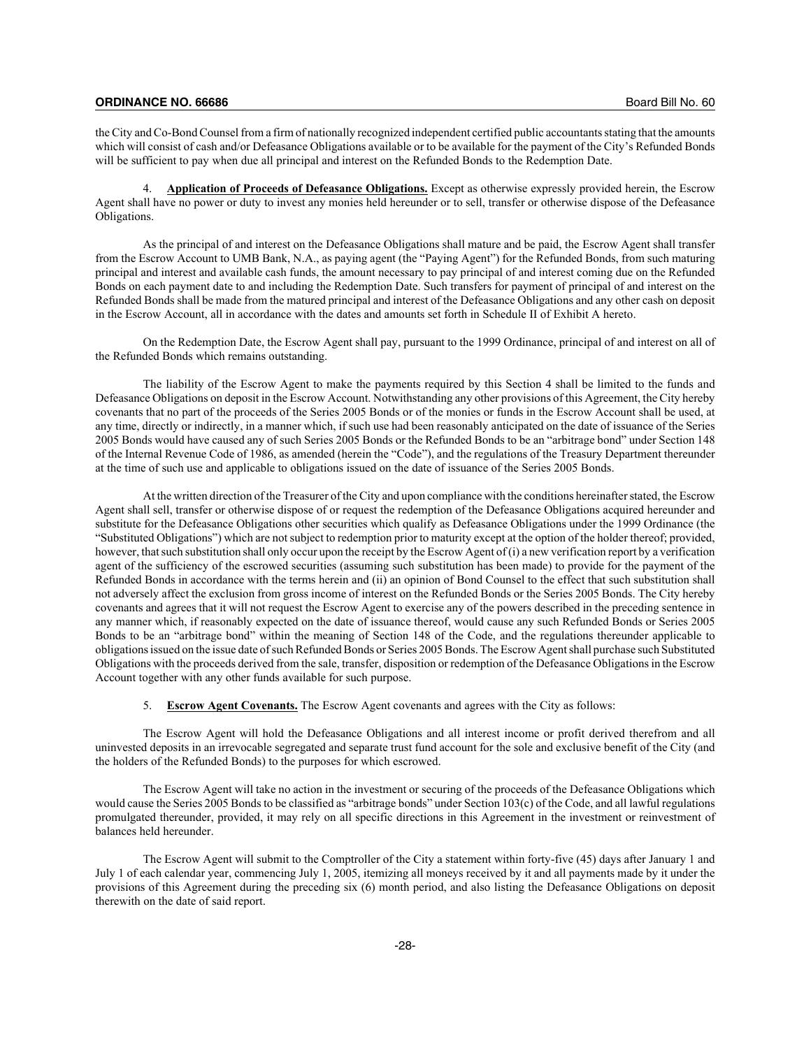the City and Co-Bond Counsel from a firm of nationally recognized independent certified public accountants stating that the amounts which will consist of cash and/or Defeasance Obligations available or to be available for the payment of the City's Refunded Bonds will be sufficient to pay when due all principal and interest on the Refunded Bonds to the Redemption Date.

4. **Application of Proceeds of Defeasance Obligations.** Except as otherwise expressly provided herein, the Escrow Agent shall have no power or duty to invest any monies held hereunder or to sell, transfer or otherwise dispose of the Defeasance Obligations.

As the principal of and interest on the Defeasance Obligations shall mature and be paid, the Escrow Agent shall transfer from the Escrow Account to UMB Bank, N.A., as paying agent (the "Paying Agent") for the Refunded Bonds, from such maturing principal and interest and available cash funds, the amount necessary to pay principal of and interest coming due on the Refunded Bonds on each payment date to and including the Redemption Date. Such transfers for payment of principal of and interest on the Refunded Bonds shall be made from the matured principal and interest of the Defeasance Obligations and any other cash on deposit in the Escrow Account, all in accordance with the dates and amounts set forth in Schedule II of Exhibit A hereto.

On the Redemption Date, the Escrow Agent shall pay, pursuant to the 1999 Ordinance, principal of and interest on all of the Refunded Bonds which remains outstanding.

The liability of the Escrow Agent to make the payments required by this Section 4 shall be limited to the funds and Defeasance Obligations on deposit in the Escrow Account. Notwithstanding any other provisions of this Agreement, the City hereby covenants that no part of the proceeds of the Series 2005 Bonds or of the monies or funds in the Escrow Account shall be used, at any time, directly or indirectly, in a manner which, if such use had been reasonably anticipated on the date of issuance of the Series 2005 Bonds would have caused any of such Series 2005 Bonds or the Refunded Bonds to be an "arbitrage bond" under Section 148 of the Internal Revenue Code of 1986, as amended (herein the "Code"), and the regulations of the Treasury Department thereunder at the time of such use and applicable to obligations issued on the date of issuance of the Series 2005 Bonds.

At the written direction of the Treasurer of the City and upon compliance with the conditions hereinafter stated, the Escrow Agent shall sell, transfer or otherwise dispose of or request the redemption of the Defeasance Obligations acquired hereunder and substitute for the Defeasance Obligations other securities which qualify as Defeasance Obligations under the 1999 Ordinance (the "Substituted Obligations") which are not subject to redemption prior to maturity except at the option of the holder thereof; provided, however, that such substitution shall only occur upon the receipt by the Escrow Agent of (i) a new verification report by a verification agent of the sufficiency of the escrowed securities (assuming such substitution has been made) to provide for the payment of the Refunded Bonds in accordance with the terms herein and (ii) an opinion of Bond Counsel to the effect that such substitution shall not adversely affect the exclusion from gross income of interest on the Refunded Bonds or the Series 2005 Bonds. The City hereby covenants and agrees that it will not request the Escrow Agent to exercise any of the powers described in the preceding sentence in any manner which, if reasonably expected on the date of issuance thereof, would cause any such Refunded Bonds or Series 2005 Bonds to be an "arbitrage bond" within the meaning of Section 148 of the Code, and the regulations thereunder applicable to obligations issued on the issue date of such Refunded Bonds or Series 2005 Bonds. The Escrow Agent shall purchase such Substituted Obligations with the proceeds derived from the sale, transfer, disposition or redemption of the Defeasance Obligations in the Escrow Account together with any other funds available for such purpose.

5. **Escrow Agent Covenants.** The Escrow Agent covenants and agrees with the City as follows:

The Escrow Agent will hold the Defeasance Obligations and all interest income or profit derived therefrom and all uninvested deposits in an irrevocable segregated and separate trust fund account for the sole and exclusive benefit of the City (and the holders of the Refunded Bonds) to the purposes for which escrowed.

The Escrow Agent will take no action in the investment or securing of the proceeds of the Defeasance Obligations which would cause the Series 2005 Bonds to be classified as "arbitrage bonds" under Section 103(c) of the Code, and all lawful regulations promulgated thereunder, provided, it may rely on all specific directions in this Agreement in the investment or reinvestment of balances held hereunder.

The Escrow Agent will submit to the Comptroller of the City a statement within forty-five (45) days after January 1 and July 1 of each calendar year, commencing July 1, 2005, itemizing all moneys received by it and all payments made by it under the provisions of this Agreement during the preceding six (6) month period, and also listing the Defeasance Obligations on deposit therewith on the date of said report.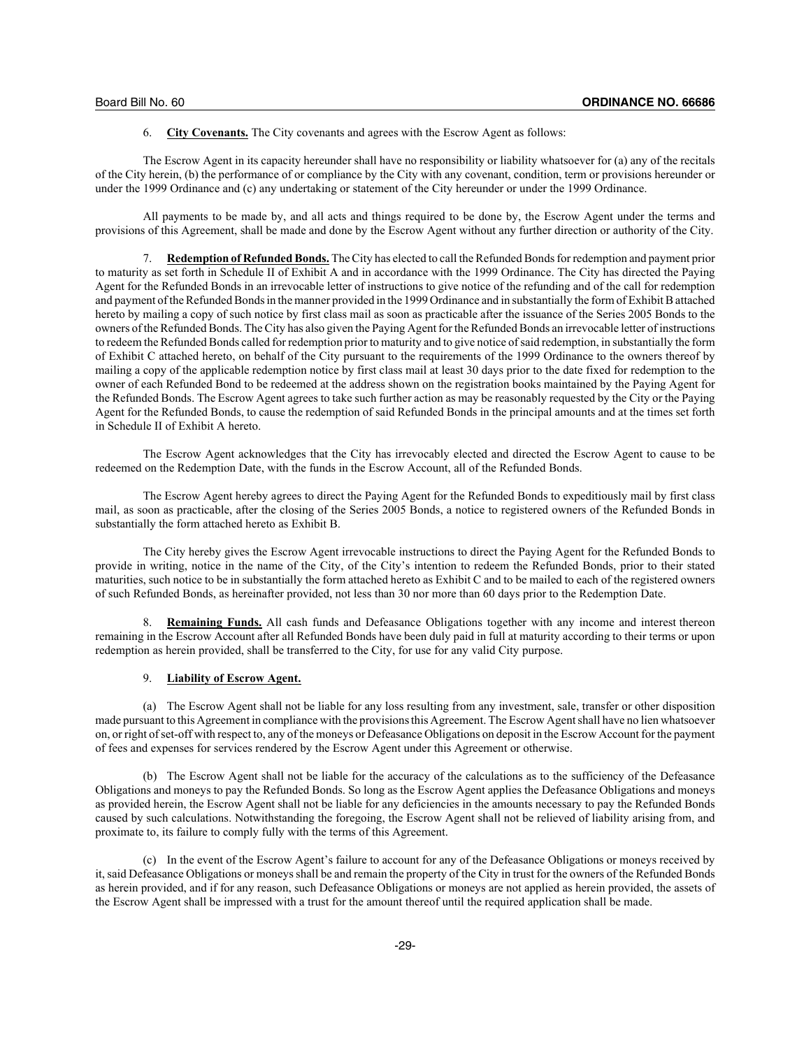6. **City Covenants.** The City covenants and agrees with the Escrow Agent as follows:

The Escrow Agent in its capacity hereunder shall have no responsibility or liability whatsoever for (a) any of the recitals of the City herein, (b) the performance of or compliance by the City with any covenant, condition, term or provisions hereunder or under the 1999 Ordinance and (c) any undertaking or statement of the City hereunder or under the 1999 Ordinance.

All payments to be made by, and all acts and things required to be done by, the Escrow Agent under the terms and provisions of this Agreement, shall be made and done by the Escrow Agent without any further direction or authority of the City.

7. **Redemption of Refunded Bonds.** The City has elected to call the Refunded Bonds for redemption and payment prior to maturity as set forth in Schedule II of Exhibit A and in accordance with the 1999 Ordinance. The City has directed the Paying Agent for the Refunded Bonds in an irrevocable letter of instructions to give notice of the refunding and of the call for redemption and payment of the Refunded Bonds in the manner provided in the 1999 Ordinance and in substantially the form of Exhibit B attached hereto by mailing a copy of such notice by first class mail as soon as practicable after the issuance of the Series 2005 Bonds to the owners of the Refunded Bonds. The City has also given the Paying Agent for the Refunded Bonds an irrevocable letter of instructions to redeem the Refunded Bonds called for redemption prior to maturity and to give notice of said redemption, in substantially the form of Exhibit C attached hereto, on behalf of the City pursuant to the requirements of the 1999 Ordinance to the owners thereof by mailing a copy of the applicable redemption notice by first class mail at least 30 days prior to the date fixed for redemption to the owner of each Refunded Bond to be redeemed at the address shown on the registration books maintained by the Paying Agent for the Refunded Bonds. The Escrow Agent agrees to take such further action as may be reasonably requested by the City or the Paying Agent for the Refunded Bonds, to cause the redemption of said Refunded Bonds in the principal amounts and at the times set forth in Schedule II of Exhibit A hereto.

The Escrow Agent acknowledges that the City has irrevocably elected and directed the Escrow Agent to cause to be redeemed on the Redemption Date, with the funds in the Escrow Account, all of the Refunded Bonds.

The Escrow Agent hereby agrees to direct the Paying Agent for the Refunded Bonds to expeditiously mail by first class mail, as soon as practicable, after the closing of the Series 2005 Bonds, a notice to registered owners of the Refunded Bonds in substantially the form attached hereto as Exhibit B.

The City hereby gives the Escrow Agent irrevocable instructions to direct the Paying Agent for the Refunded Bonds to provide in writing, notice in the name of the City, of the City's intention to redeem the Refunded Bonds, prior to their stated maturities, such notice to be in substantially the form attached hereto as Exhibit C and to be mailed to each of the registered owners of such Refunded Bonds, as hereinafter provided, not less than 30 nor more than 60 days prior to the Redemption Date.

8. **Remaining Funds.** All cash funds and Defeasance Obligations together with any income and interest thereon remaining in the Escrow Account after all Refunded Bonds have been duly paid in full at maturity according to their terms or upon redemption as herein provided, shall be transferred to the City, for use for any valid City purpose.

## 9. **Liability of Escrow Agent.**

(a) The Escrow Agent shall not be liable for any loss resulting from any investment, sale, transfer or other disposition made pursuant to this Agreement in compliance with the provisions this Agreement. The Escrow Agent shall have no lien whatsoever on, or right of set-off with respect to, any of the moneys or Defeasance Obligations on deposit in the Escrow Account for the payment of fees and expenses for services rendered by the Escrow Agent under this Agreement or otherwise.

(b) The Escrow Agent shall not be liable for the accuracy of the calculations as to the sufficiency of the Defeasance Obligations and moneys to pay the Refunded Bonds. So long as the Escrow Agent applies the Defeasance Obligations and moneys as provided herein, the Escrow Agent shall not be liable for any deficiencies in the amounts necessary to pay the Refunded Bonds caused by such calculations. Notwithstanding the foregoing, the Escrow Agent shall not be relieved of liability arising from, and proximate to, its failure to comply fully with the terms of this Agreement.

(c) In the event of the Escrow Agent's failure to account for any of the Defeasance Obligations or moneys received by it, said Defeasance Obligations or moneys shall be and remain the property of the City in trust for the owners of the Refunded Bonds as herein provided, and if for any reason, such Defeasance Obligations or moneys are not applied as herein provided, the assets of the Escrow Agent shall be impressed with a trust for the amount thereof until the required application shall be made.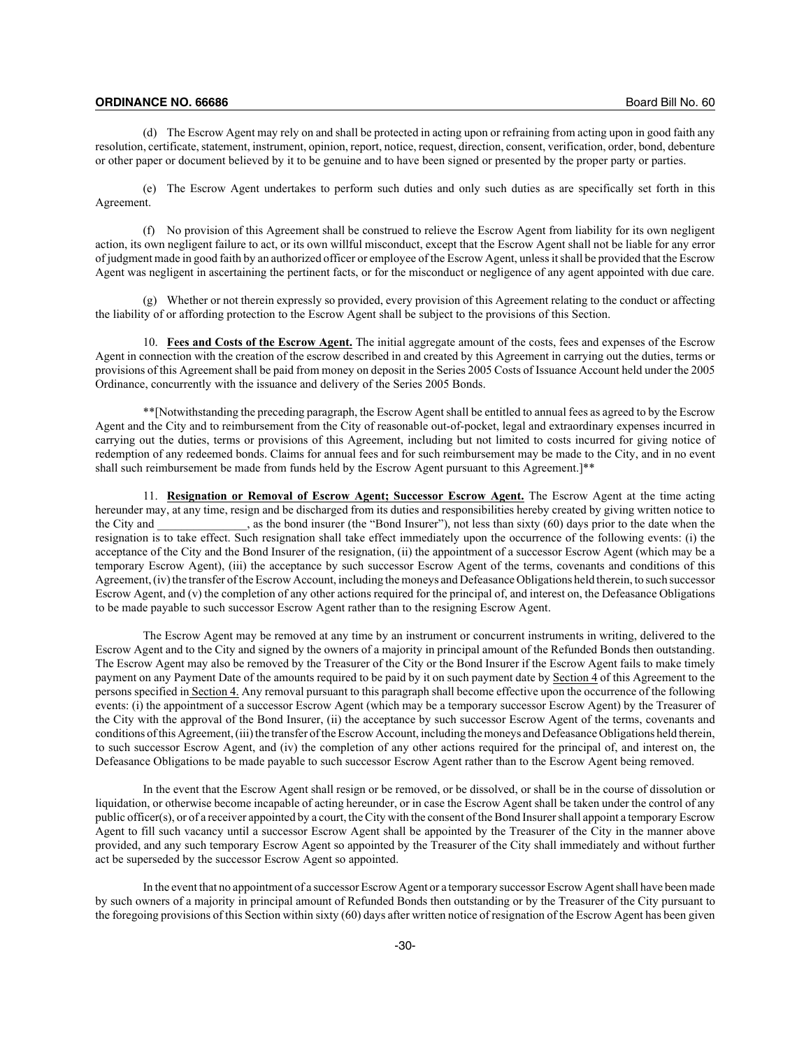(d) The Escrow Agent may rely on and shall be protected in acting upon or refraining from acting upon in good faith any resolution, certificate, statement, instrument, opinion, report, notice, request, direction, consent, verification, order, bond, debenture or other paper or document believed by it to be genuine and to have been signed or presented by the proper party or parties.

(e) The Escrow Agent undertakes to perform such duties and only such duties as are specifically set forth in this Agreement.

(f) No provision of this Agreement shall be construed to relieve the Escrow Agent from liability for its own negligent action, its own negligent failure to act, or its own willful misconduct, except that the Escrow Agent shall not be liable for any error of judgment made in good faith by an authorized officer or employee of the Escrow Agent, unless it shall be provided that the Escrow Agent was negligent in ascertaining the pertinent facts, or for the misconduct or negligence of any agent appointed with due care.

(g) Whether or not therein expressly so provided, every provision of this Agreement relating to the conduct or affecting the liability of or affording protection to the Escrow Agent shall be subject to the provisions of this Section.

10. **Fees and Costs of the Escrow Agent.** The initial aggregate amount of the costs, fees and expenses of the Escrow Agent in connection with the creation of the escrow described in and created by this Agreement in carrying out the duties, terms or provisions of this Agreement shall be paid from money on deposit in the Series 2005 Costs of Issuance Account held under the 2005 Ordinance, concurrently with the issuance and delivery of the Series 2005 Bonds.

\*\*[Notwithstanding the preceding paragraph, the Escrow Agent shall be entitled to annual fees as agreed to by the Escrow Agent and the City and to reimbursement from the City of reasonable out-of-pocket, legal and extraordinary expenses incurred in carrying out the duties, terms or provisions of this Agreement, including but not limited to costs incurred for giving notice of redemption of any redeemed bonds. Claims for annual fees and for such reimbursement may be made to the City, and in no event shall such reimbursement be made from funds held by the Escrow Agent pursuant to this Agreement.]\*\*

11. **Resignation or Removal of Escrow Agent; Successor Escrow Agent.** The Escrow Agent at the time acting hereunder may, at any time, resign and be discharged from its duties and responsibilities hereby created by giving written notice to the City and \_\_\_\_\_\_\_\_\_\_\_\_\_\_\_, as the bond insurer (the "Bond Insurer"), not less than sixty (60) days prior to the date when the resignation is to take effect. Such resignation shall take effect immediately upon the occurrence of the following events: (i) the acceptance of the City and the Bond Insurer of the resignation, (ii) the appointment of a successor Escrow Agent (which may be a temporary Escrow Agent), (iii) the acceptance by such successor Escrow Agent of the terms, covenants and conditions of this Agreement, (iv) the transfer of the Escrow Account, including the moneys and Defeasance Obligations held therein, to such successor Escrow Agent, and (v) the completion of any other actions required for the principal of, and interest on, the Defeasance Obligations to be made payable to such successor Escrow Agent rather than to the resigning Escrow Agent.

The Escrow Agent may be removed at any time by an instrument or concurrent instruments in writing, delivered to the Escrow Agent and to the City and signed by the owners of a majority in principal amount of the Refunded Bonds then outstanding. The Escrow Agent may also be removed by the Treasurer of the City or the Bond Insurer if the Escrow Agent fails to make timely payment on any Payment Date of the amounts required to be paid by it on such payment date by Section 4 of this Agreement to the persons specified in Section 4. Any removal pursuant to this paragraph shall become effective upon the occurrence of the following events: (i) the appointment of a successor Escrow Agent (which may be a temporary successor Escrow Agent) by the Treasurer of the City with the approval of the Bond Insurer, (ii) the acceptance by such successor Escrow Agent of the terms, covenants and conditions of this Agreement, (iii) the transfer of the Escrow Account, including the moneys and Defeasance Obligations held therein, to such successor Escrow Agent, and (iv) the completion of any other actions required for the principal of, and interest on, the Defeasance Obligations to be made payable to such successor Escrow Agent rather than to the Escrow Agent being removed.

In the event that the Escrow Agent shall resign or be removed, or be dissolved, or shall be in the course of dissolution or liquidation, or otherwise become incapable of acting hereunder, or in case the Escrow Agent shall be taken under the control of any public officer(s), or of a receiver appointed by a court, the City with the consent of the Bond Insurer shall appoint a temporary Escrow Agent to fill such vacancy until a successor Escrow Agent shall be appointed by the Treasurer of the City in the manner above provided, and any such temporary Escrow Agent so appointed by the Treasurer of the City shall immediately and without further act be superseded by the successor Escrow Agent so appointed.

In the event that no appointment of a successor Escrow Agent or a temporary successor Escrow Agent shall have been made by such owners of a majority in principal amount of Refunded Bonds then outstanding or by the Treasurer of the City pursuant to the foregoing provisions of this Section within sixty (60) days after written notice of resignation of the Escrow Agent has been given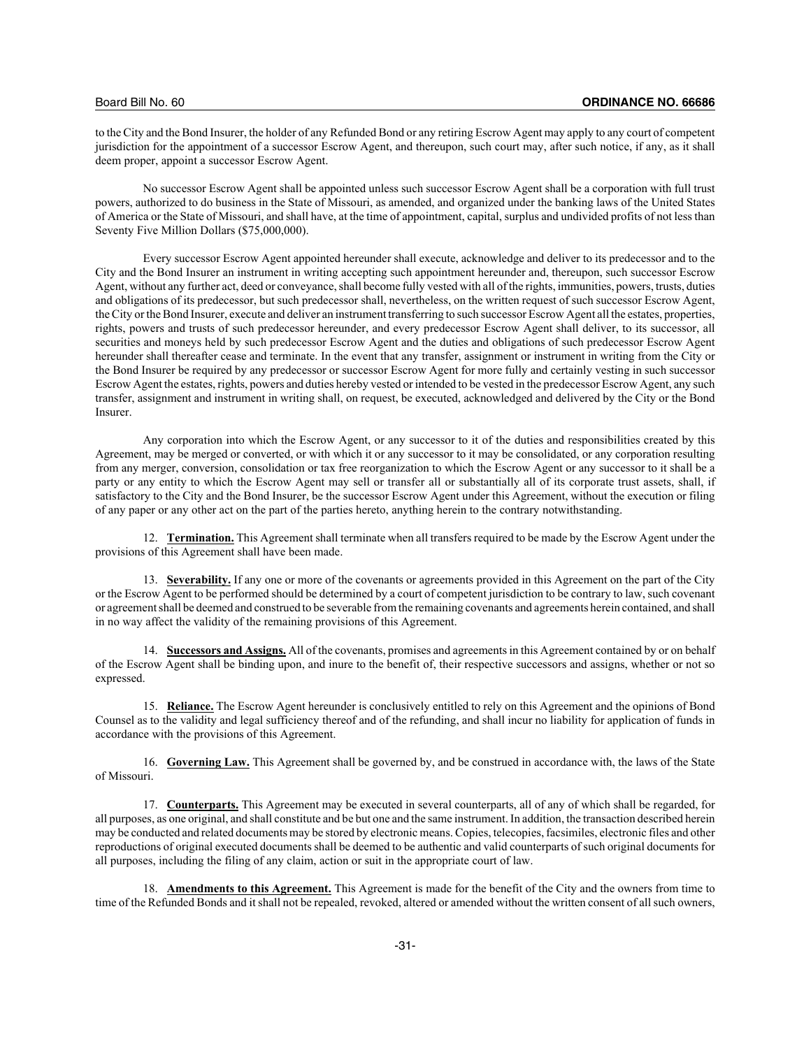to the City and the Bond Insurer, the holder of any Refunded Bond or any retiring Escrow Agent may apply to any court of competent jurisdiction for the appointment of a successor Escrow Agent, and thereupon, such court may, after such notice, if any, as it shall deem proper, appoint a successor Escrow Agent.

No successor Escrow Agent shall be appointed unless such successor Escrow Agent shall be a corporation with full trust powers, authorized to do business in the State of Missouri, as amended, and organized under the banking laws of the United States of America or the State of Missouri, and shall have, at the time of appointment, capital, surplus and undivided profits of not less than Seventy Five Million Dollars (\$75,000,000).

Every successor Escrow Agent appointed hereunder shall execute, acknowledge and deliver to its predecessor and to the City and the Bond Insurer an instrument in writing accepting such appointment hereunder and, thereupon, such successor Escrow Agent, without any further act, deed or conveyance, shall become fully vested with all of the rights, immunities, powers, trusts, duties and obligations of its predecessor, but such predecessor shall, nevertheless, on the written request of such successor Escrow Agent, the City or the Bond Insurer, execute and deliver an instrument transferring to such successor Escrow Agent all the estates, properties, rights, powers and trusts of such predecessor hereunder, and every predecessor Escrow Agent shall deliver, to its successor, all securities and moneys held by such predecessor Escrow Agent and the duties and obligations of such predecessor Escrow Agent hereunder shall thereafter cease and terminate. In the event that any transfer, assignment or instrument in writing from the City or the Bond Insurer be required by any predecessor or successor Escrow Agent for more fully and certainly vesting in such successor Escrow Agent the estates, rights, powers and duties hereby vested or intended to be vested in the predecessor Escrow Agent, any such transfer, assignment and instrument in writing shall, on request, be executed, acknowledged and delivered by the City or the Bond Insurer.

Any corporation into which the Escrow Agent, or any successor to it of the duties and responsibilities created by this Agreement, may be merged or converted, or with which it or any successor to it may be consolidated, or any corporation resulting from any merger, conversion, consolidation or tax free reorganization to which the Escrow Agent or any successor to it shall be a party or any entity to which the Escrow Agent may sell or transfer all or substantially all of its corporate trust assets, shall, if satisfactory to the City and the Bond Insurer, be the successor Escrow Agent under this Agreement, without the execution or filing of any paper or any other act on the part of the parties hereto, anything herein to the contrary notwithstanding.

12. **Termination.** This Agreement shall terminate when all transfers required to be made by the Escrow Agent under the provisions of this Agreement shall have been made.

13. **Severability.** If any one or more of the covenants or agreements provided in this Agreement on the part of the City or the Escrow Agent to be performed should be determined by a court of competent jurisdiction to be contrary to law, such covenant or agreement shall be deemed and construed to be severable from the remaining covenants and agreements herein contained, and shall in no way affect the validity of the remaining provisions of this Agreement.

14. **Successors and Assigns.** All of the covenants, promises and agreements in this Agreement contained by or on behalf of the Escrow Agent shall be binding upon, and inure to the benefit of, their respective successors and assigns, whether or not so expressed.

15. **Reliance.** The Escrow Agent hereunder is conclusively entitled to rely on this Agreement and the opinions of Bond Counsel as to the validity and legal sufficiency thereof and of the refunding, and shall incur no liability for application of funds in accordance with the provisions of this Agreement.

16. **Governing Law.** This Agreement shall be governed by, and be construed in accordance with, the laws of the State of Missouri.

17. **Counterparts.** This Agreement may be executed in several counterparts, all of any of which shall be regarded, for all purposes, as one original, and shall constitute and be but one and the same instrument. In addition, the transaction described herein may be conducted and related documents may be stored by electronic means. Copies, telecopies, facsimiles, electronic files and other reproductions of original executed documents shall be deemed to be authentic and valid counterparts of such original documents for all purposes, including the filing of any claim, action or suit in the appropriate court of law.

18. **Amendments to this Agreement.** This Agreement is made for the benefit of the City and the owners from time to time of the Refunded Bonds and it shall not be repealed, revoked, altered or amended without the written consent of all such owners,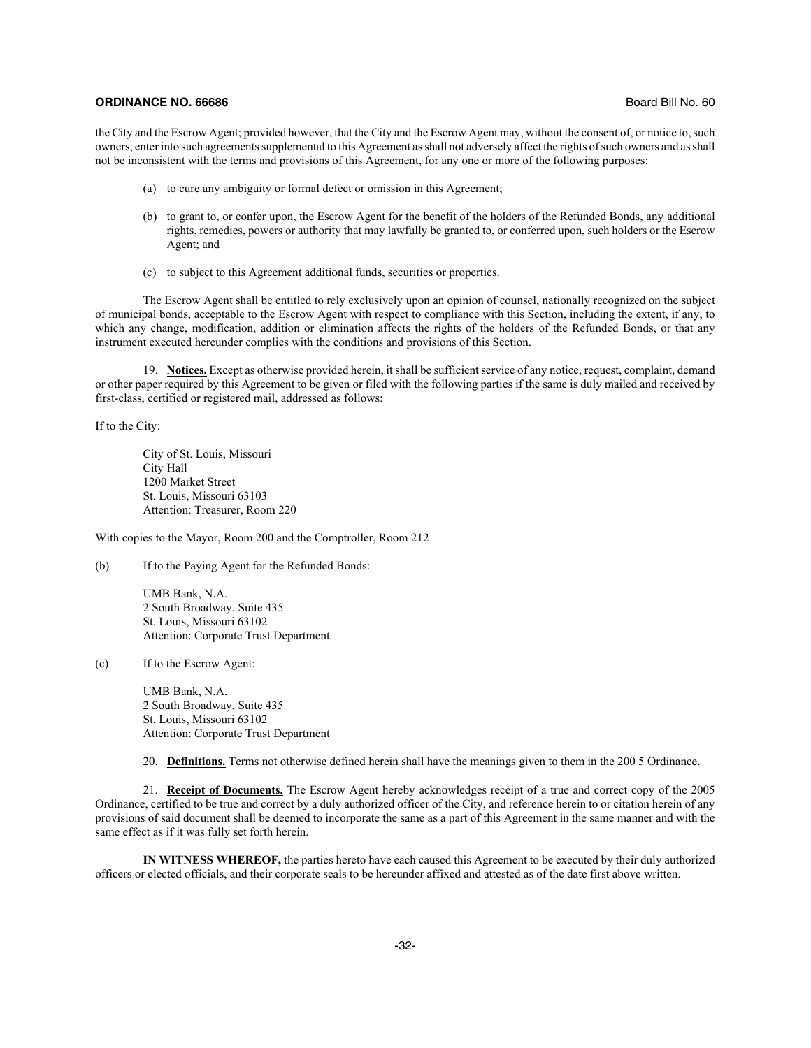the City and the Escrow Agent; provided however, that the City and the Escrow Agent may, without the consent of, or notice to, such owners, enter into such agreements supplemental to this Agreement as shall not adversely affect the rights of such owners and as shall not be inconsistent with the terms and provisions of this Agreement, for any one or more of the following purposes:

- (a) to cure any ambiguity or formal defect or omission in this Agreement;
- (b) to grant to, or confer upon, the Escrow Agent for the benefit of the holders of the Refunded Bonds, any additional rights, remedies, powers or authority that may lawfully be granted to, or conferred upon, such holders or the Escrow Agent; and
- (c) to subject to this Agreement additional funds, securities or properties.

The Escrow Agent shall be entitled to rely exclusively upon an opinion of counsel, nationally recognized on the subject of municipal bonds, acceptable to the Escrow Agent with respect to compliance with this Section, including the extent, if any, to which any change, modification, addition or elimination affects the rights of the holders of the Refunded Bonds, or that any instrument executed hereunder complies with the conditions and provisions of this Section.

19. **Notices.** Except as otherwise provided herein, it shall be sufficient service of any notice, request, complaint, demand or other paper required by this Agreement to be given or filed with the following parties if the same is duly mailed and received by first-class, certified or registered mail, addressed as follows:

If to the City:

City of St. Louis, Missouri City Hall 1200 Market Street St. Louis, Missouri 63103 Attention: Treasurer, Room 220

With copies to the Mayor, Room 200 and the Comptroller, Room 212

(b) If to the Paying Agent for the Refunded Bonds:

UMB Bank, N.A. 2 South Broadway, Suite 435 St. Louis, Missouri 63102 Attention: Corporate Trust Department

(c) If to the Escrow Agent:

UMB Bank, N.A. 2 South Broadway, Suite 435 St. Louis, Missouri 63102 Attention: Corporate Trust Department

20. **Definitions.** Terms not otherwise defined herein shall have the meanings given to them in the 200 5 Ordinance.

21. **Receipt of Documents.** The Escrow Agent hereby acknowledges receipt of a true and correct copy of the 2005 Ordinance, certified to be true and correct by a duly authorized officer of the City, and reference herein to or citation herein of any provisions of said document shall be deemed to incorporate the same as a part of this Agreement in the same manner and with the same effect as if it was fully set forth herein.

**IN WITNESS WHEREOF,** the parties hereto have each caused this Agreement to be executed by their duly authorized officers or elected officials, and their corporate seals to be hereunder affixed and attested as of the date first above written.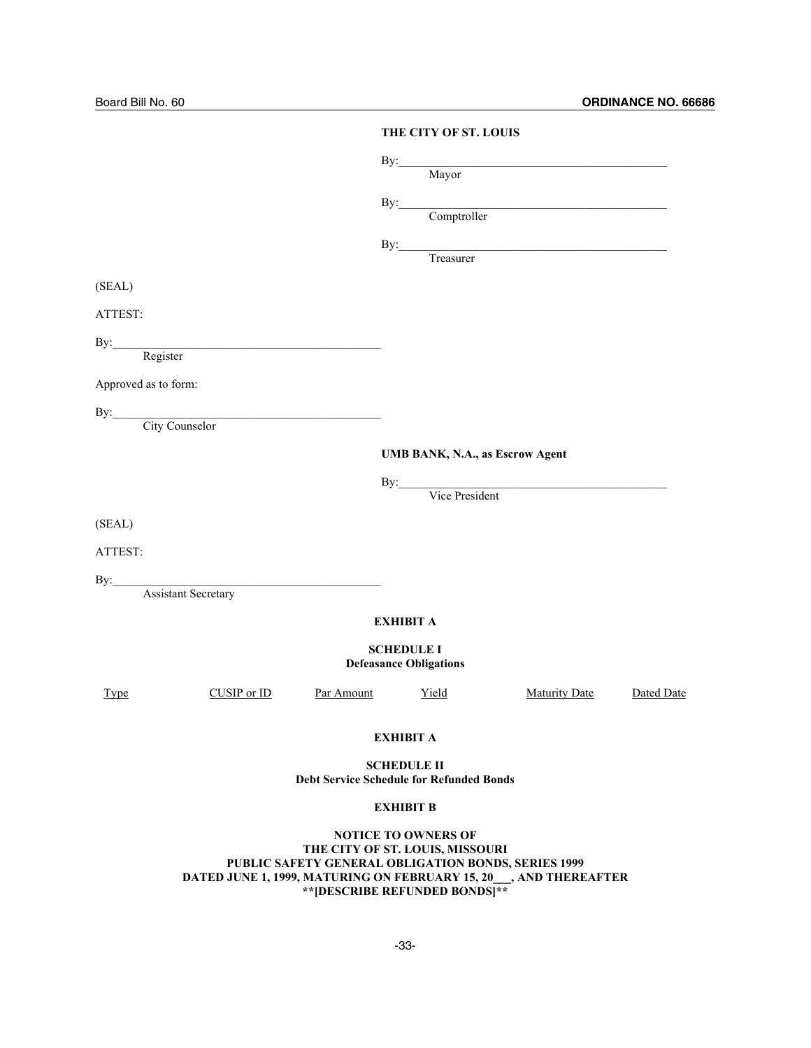|                      |                         |                                                 | THE CITY OF ST. LOUIS                              |                                                                                                                                                                                                                                                                                                                                                                                                                                                   |            |
|----------------------|-------------------------|-------------------------------------------------|----------------------------------------------------|---------------------------------------------------------------------------------------------------------------------------------------------------------------------------------------------------------------------------------------------------------------------------------------------------------------------------------------------------------------------------------------------------------------------------------------------------|------------|
|                      |                         |                                                 |                                                    | By: Mayor                                                                                                                                                                                                                                                                                                                                                                                                                                         |            |
|                      |                         |                                                 |                                                    | By: Comptroller                                                                                                                                                                                                                                                                                                                                                                                                                                   |            |
|                      |                         |                                                 |                                                    | $\begin{minipage}{0.9\linewidth} By: \begin{tabular}{l} \hline \textbf{1} & \textbf{2} & \textbf{3} & \textbf{4} & \textbf{5} \\ \hline \textbf{2} & \textbf{3} & \textbf{4} & \textbf{5} & \textbf{6} & \textbf{7} \\ \hline \textbf{3} & \textbf{4} & \textbf{5} & \textbf{6} & \textbf{7} & \textbf{8} \\ \hline \textbf{4} & \textbf{5} & \textbf{6} & \textbf{7} & \textbf{8} & \textbf{8} & \textbf{9} \\ \hline \textbf{5} & \textbf{6} &$ |            |
| (SEAL)               |                         |                                                 |                                                    |                                                                                                                                                                                                                                                                                                                                                                                                                                                   |            |
| ATTEST:              |                         |                                                 |                                                    |                                                                                                                                                                                                                                                                                                                                                                                                                                                   |            |
|                      | By: Register            |                                                 |                                                    |                                                                                                                                                                                                                                                                                                                                                                                                                                                   |            |
| Approved as to form: |                         |                                                 |                                                    |                                                                                                                                                                                                                                                                                                                                                                                                                                                   |            |
|                      | By: City Counselor      |                                                 |                                                    |                                                                                                                                                                                                                                                                                                                                                                                                                                                   |            |
|                      |                         |                                                 |                                                    |                                                                                                                                                                                                                                                                                                                                                                                                                                                   |            |
|                      |                         |                                                 | UMB BANK, N.A., as Escrow Agent                    |                                                                                                                                                                                                                                                                                                                                                                                                                                                   |            |
|                      |                         |                                                 |                                                    | By: Vice President                                                                                                                                                                                                                                                                                                                                                                                                                                |            |
| (SEAL)               |                         |                                                 |                                                    |                                                                                                                                                                                                                                                                                                                                                                                                                                                   |            |
| ATTEST:              |                         |                                                 |                                                    |                                                                                                                                                                                                                                                                                                                                                                                                                                                   |            |
|                      | By: Assistant Secretary |                                                 |                                                    |                                                                                                                                                                                                                                                                                                                                                                                                                                                   |            |
|                      |                         |                                                 | <b>EXHIBIT A</b>                                   |                                                                                                                                                                                                                                                                                                                                                                                                                                                   |            |
|                      |                         |                                                 | <b>SCHEDULE I</b><br><b>Defeasance Obligations</b> |                                                                                                                                                                                                                                                                                                                                                                                                                                                   |            |
| <b>Type</b>          | CUSIP or ID             | Par Amount                                      | Yield                                              | <b>Maturity Date</b>                                                                                                                                                                                                                                                                                                                                                                                                                              | Dated Date |
|                      |                         |                                                 | <b>EXHIBIT A</b>                                   |                                                                                                                                                                                                                                                                                                                                                                                                                                                   |            |
|                      |                         | <b>Debt Service Schedule for Refunded Bonds</b> | <b>SCHEDULE II</b>                                 |                                                                                                                                                                                                                                                                                                                                                                                                                                                   |            |
|                      |                         |                                                 | <b>EXHIBIT B</b>                                   |                                                                                                                                                                                                                                                                                                                                                                                                                                                   |            |
|                      |                         |                                                 | NOTICE TO OWNEDS OF                                |                                                                                                                                                                                                                                                                                                                                                                                                                                                   |            |

**NOTICE TO OWNERS OF THE CITY OF ST. LOUIS, MISSOURI PUBLIC SAFETY GENERAL OBLIGATION BONDS, SERIES 1999 DATED JUNE 1, 1999, MATURING ON FEBRUARY 15, 20\_\_\_, AND THEREAFTER \*\*[DESCRIBE REFUNDED BONDS]\*\***